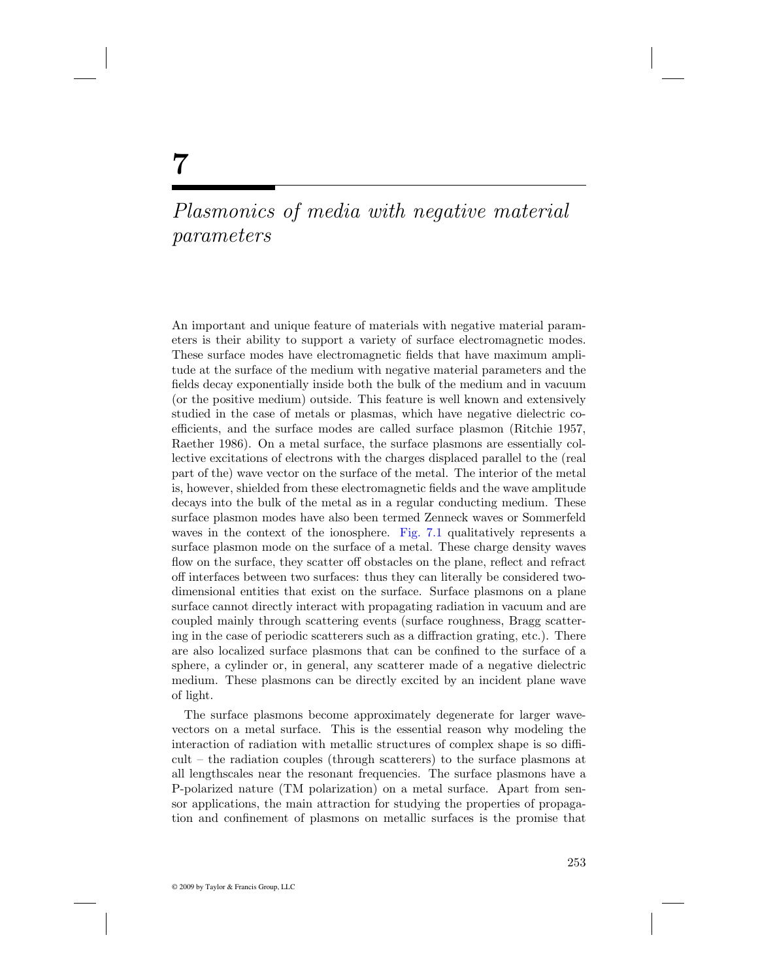# Plasmonics of media with negative material parameters

An important and unique feature of materials with negative material parameters is their ability to support a variety of surface electromagnetic modes. These surface modes have electromagnetic fields that have maximum amplitude at the surface of the medium with negative material parameters and the fields decay exponentially inside both the bulk of the medium and in vacuum (or the positive medium) outside. This feature is well known and extensively studied in the case of metals or plasmas, which have negative dielectric coefficients, and the surface modes are called surface plasmon (Ritchie 1957, Raether 1986). On a metal surface, the surface plasmons are essentially collective excitations of electrons with the charges displaced parallel to the (real part of the) wave vector on the surface of the metal. The interior of the metal is, however, shielded from these electromagnetic fields and the wave amplitude decays into the bulk of the metal as in a regular conducting medium. These surface plasmon modes have also been termed Zenneck waves or Sommerfeld waves in the context of the ionosphere. [Fig. 7.1](#page-1-0) qualitatively represents a surface plasmon mode on the surface of a metal. These charge density waves flow on the surface, they scatter off obstacles on the plane, reflect and refract off interfaces between two surfaces: thus they can literally be considered twodimensional entities that exist on the surface. Surface plasmons on a plane surface cannot directly interact with propagating radiation in vacuum and are coupled mainly through scattering events (surface roughness, Bragg scattering in the case of periodic scatterers such as a diffraction grating, etc.). There are also localized surface plasmons that can be confined to the surface of a sphere, a cylinder or, in general, any scatterer made of a negative dielectric medium. These plasmons can be directly excited by an incident plane wave of light.

The surface plasmons become approximately degenerate for larger wavevectors on a metal surface. This is the essential reason why modeling the interaction of radiation with metallic structures of complex shape is so difficult – the radiation couples (through scatterers) to the surface plasmons at all lengthscales near the resonant frequencies. The surface plasmons have a P-polarized nature (TM polarization) on a metal surface. Apart from sensor applications, the main attraction for studying the properties of propagation and confinement of plasmons on metallic surfaces is the promise that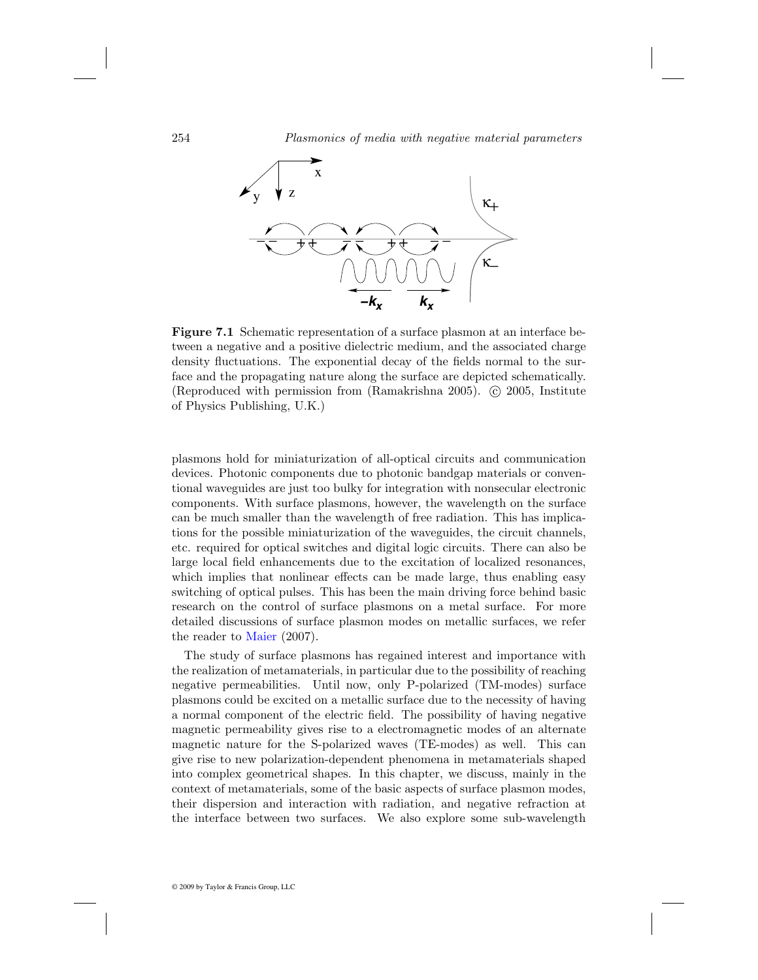<span id="page-1-0"></span>

**Figure 7.1** Schematic representation of a surface plasmon at an interface between a negative and a positive dielectric medium, and the associated charge density fluctuations. The exponential decay of the fields normal to the surface and the propagating nature along the surface are depicted schematically. (Reproduced with permission from (Ramakrishna 2005). C 2005, Institute of Physics Publishing, U.K.)

plasmons hold for miniaturization of all-optical circuits and communication devices. Photonic components due to photonic bandgap materials or conventional waveguides are just too bulky for integration with nonsecular electronic components. With surface plasmons, however, the wavelength on the surface can be much smaller than the wavelength of free radiation. This has implications for the possible miniaturization of the waveguides, the circuit channels, etc. required for optical switches and digital logic circuits. There can also be large local field enhancements due to the excitation of localized resonances, which implies that nonlinear effects can be made large, thus enabling easy switching of optical pulses. This has been the main driving force behind basic research on the control of surface plasmons on a metal surface. For more detailed discussions of surface plasmon modes on metallic surfaces, we refer the reader to [Maier](#page-10-0) (2007).

The study of surface plasmons has regained interest and importance with the realization of metamaterials, in particular due to the possibility of reaching negative permeabilities. Until now, only P-polarized (TM-modes) surface plasmons could be excited on a metallic surface due to the necessity of having a normal component of the electric field. The possibility of having negative magnetic permeability gives rise to a electromagnetic modes of an alternate magnetic nature for the S-polarized waves (TE-modes) as well. This can give rise to new polarization-dependent phenomena in metamaterials shaped into complex geometrical shapes. In this chapter, we discuss, mainly in the context of metamaterials, some of the basic aspects of surface plasmon modes, their dispersion and interaction with radiation, and negative refraction at the interface between two surfaces. We also explore some sub-wavelength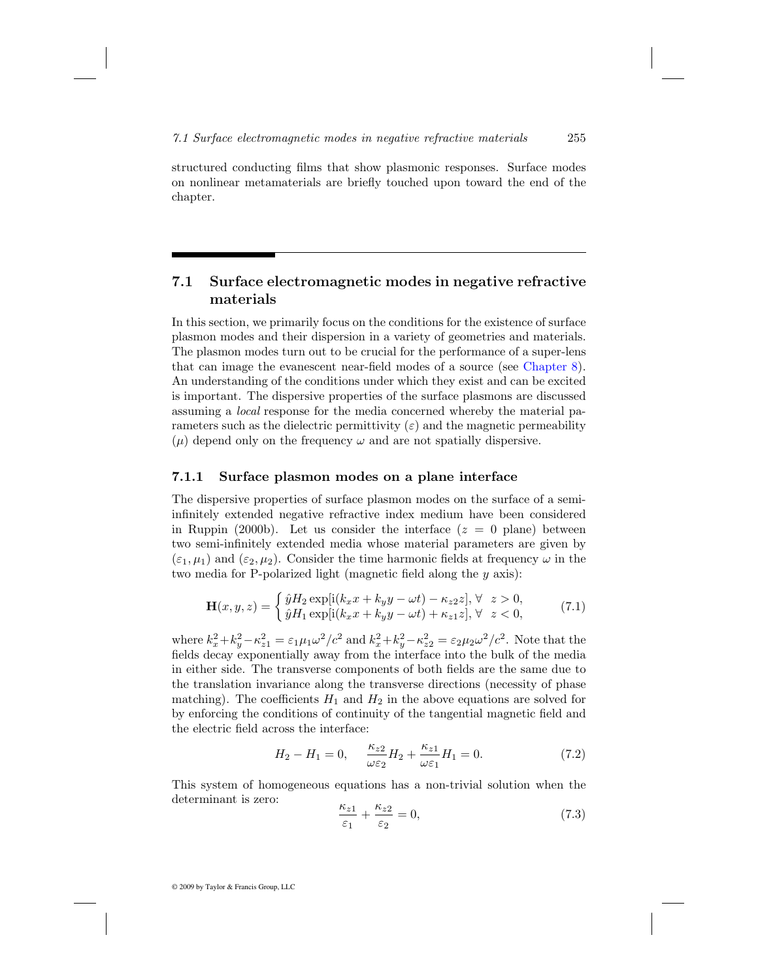# <span id="page-2-0"></span>**7.1 Surface electromagnetic modes in negative refractive materials**

In this section, we primarily focus on the conditions for the existence of surface plasmon modes and their dispersion in a variety of geometries and materials. The plasmon modes turn out to be crucial for the performance of a super-lens that can image the evanescent near-field modes of a source (see Chapter 8). An understanding of the conditions under which they exist and can be excited is important. The dispersive properties of the surface plasmons are discussed assuming a *local* response for the media concerned whereby the material parameters such as the dielectric permittivity  $(\varepsilon)$  and the magnetic permeability  $(μ)$  depend only on the frequency  $ω$  and are not spatially dispersive.

## **7.1.1 Surface plasmon modes on a plane interface**

The dispersive properties of surface plasmon modes on the surface of a semiinfinitely extended negative refractive index medium have been considered in Ruppin (2000b). Let us consider the interface  $(z = 0)$  plane) between two semi-infinitely extended media whose material parameters are given by  $(\varepsilon_1,\mu_1)$  and  $(\varepsilon_2,\mu_2)$ . Consider the time harmonic fields at frequency  $\omega$  in the two media for P-polarized light (magnetic field along the y axis):

$$
\mathbf{H}(x,y,z) = \begin{cases} \hat{y}H_2 \exp[i(k_x x + k_y y - \omega t) - \kappa_{z2} z], \forall z > 0, \\ \hat{y}H_1 \exp[i(k_x x + k_y y - \omega t) + \kappa_{z1} z], \forall z < 0, \end{cases}
$$
(7.1)

where  $k_x^2 + k_y^2 - \kappa_{z1}^2 = \varepsilon_1 \mu_1 \omega^2/c^2$  and  $k_x^2 + k_y^2 - \kappa_{z2}^2 = \varepsilon_2 \mu_2 \omega^2/c^2$ . Note that the fields decay exponentially away from the interface into the bulk of the media in either side. The transverse components of both fields are the same due to the translation invariance along the transverse directions (necessity of phase matching). The coefficients  $H_1$  and  $H_2$  in the above equations are solved for by enforcing the conditions of continuity of the tangential magnetic field and the electric field across the interface:

$$
H_2 - H_1 = 0, \quad \frac{\kappa_{z2}}{\omega \varepsilon_2} H_2 + \frac{\kappa_{z1}}{\omega \varepsilon_1} H_1 = 0.
$$
 (7.2)

This system of homogeneous equations has a non-trivial solution when the determinant is zero:

$$
\frac{\kappa_{z1}}{\varepsilon_1} + \frac{\kappa_{z2}}{\varepsilon_2} = 0,\tag{7.3}
$$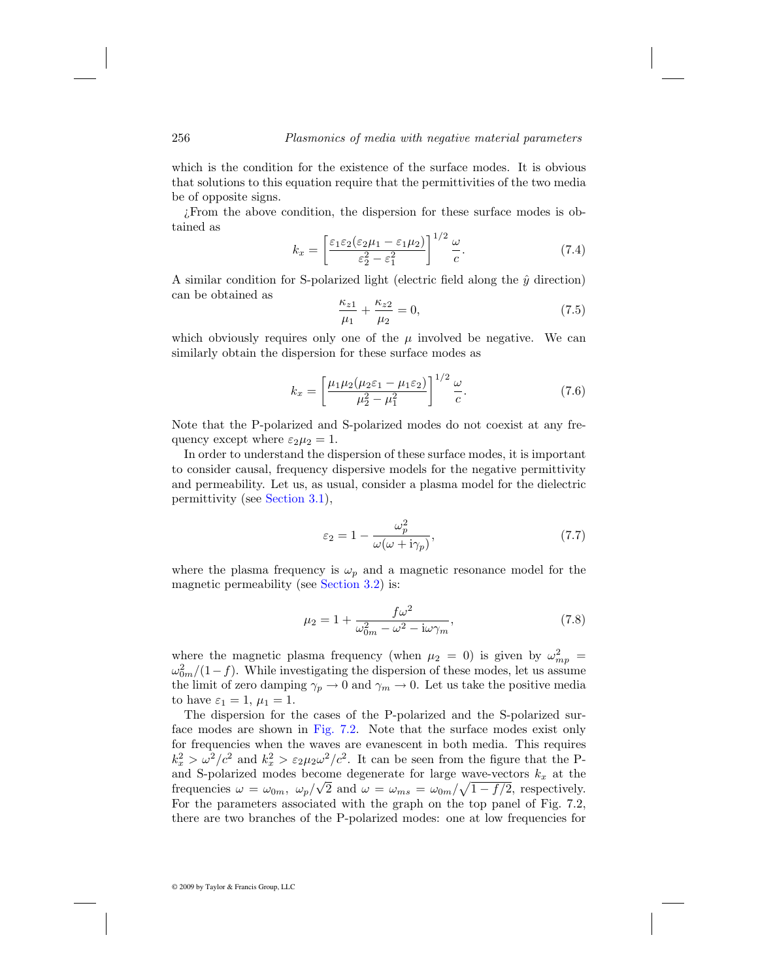which is the condition for the existence of the surface modes. It is obvious that solutions to this equation require that the permittivities of the two media be of opposite signs.

¿From the above condition, the dispersion for these surface modes is obtained as

$$
k_x = \left[\frac{\varepsilon_1 \varepsilon_2 (\varepsilon_2 \mu_1 - \varepsilon_1 \mu_2)}{\varepsilon_2^2 - \varepsilon_1^2}\right]^{1/2} \frac{\omega}{c}.
$$
 (7.4)

A similar condition for S-polarized light (electric field along the  $\hat{y}$  direction) can be obtained as

$$
\frac{\kappa_{z1}}{\mu_1} + \frac{\kappa_{z2}}{\mu_2} = 0,\tag{7.5}
$$

which obviously requires only one of the  $\mu$  involved be negative. We can similarly obtain the dispersion for these surface modes as

$$
k_x = \left[\frac{\mu_1 \mu_2 (\mu_2 \varepsilon_1 - \mu_1 \varepsilon_2)}{\mu_2^2 - \mu_1^2}\right]^{1/2} \frac{\omega}{c}.
$$
 (7.6)

Note that the P-polarized and S-polarized modes do not coexist at any frequency except where  $\varepsilon_2 \mu_2 = 1$ .

In order to understand the dispersion of these surface modes, it is important to consider causal, frequency dispersive models for the negative permittivity and permeability. Let us, as usual, consider a plasma model for the dielectric permittivity (see [Section 3.1](#page-2-0)),

$$
\varepsilon_2 = 1 - \frac{\omega_p^2}{\omega(\omega + i\gamma_p)},\tag{7.7}
$$

where the plasma frequency is  $\omega_p$  and a magnetic resonance model for the magnetic permeability (see [Section 3.2](#page-15-0)) is:

$$
\mu_2 = 1 + \frac{f\omega^2}{\omega_{0m}^2 - \omega^2 - i\omega\gamma_m},\tag{7.8}
$$

where the magnetic plasma frequency (when  $\mu_2 = 0$ ) is given by  $\omega_{mp}^2 =$  $\omega_{0m}^2/(1-f)$ . While investigating the dispersion of these modes, let us assume the limit of zero damping  $\gamma_p \to 0$  and  $\gamma_m \to 0$ . Let us take the positive media to have  $\varepsilon_1 = 1$ ,  $\mu_1 = 1$ .

The dispersion for the cases of the P-polarized and the S-polarized surface modes are shown in [Fig. 7.2.](#page-4-0) Note that the surface modes exist only for frequencies when the waves are evanescent in both media. This requires  $k_x^2 > \omega^2/c^2$  and  $k_x^2 > \varepsilon_2 \mu_2 \omega^2/c^2$ . It can be seen from the figure that the Pand S-polarized modes become degenerate for large wave-vectors  $k_x$  at the and 5-polarized modes become degenerate for large wave-vectors  $\kappa_x$  at the frequencies  $\omega = \omega_{0m}$ ,  $\omega_p/\sqrt{2}$  and  $\omega = \omega_{ms} = \omega_{0m}/\sqrt{1 - f/2}$ , respectively. For the parameters associated with the graph on the top panel of Fig. 7.2, there are two branches of the P-polarized modes: one at low frequencies for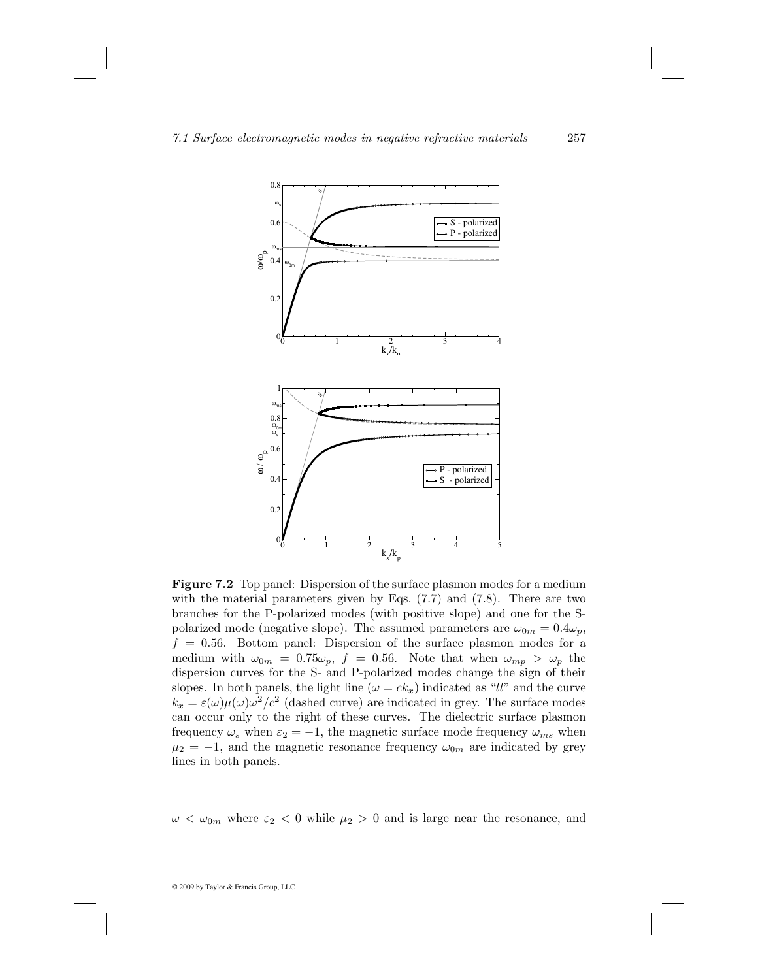<span id="page-4-0"></span>

**Figure 7.2** Top panel: Dispersion of the surface plasmon modes for a medium with the material parameters given by Eqs.  $(7.7)$  and  $(7.8)$ . There are two branches for the P-polarized modes (with positive slope) and one for the Spolarized mode (negative slope). The assumed parameters are  $\omega_{0m} = 0.4\omega_p$ ,  $f = 0.56$ . Bottom panel: Dispersion of the surface plasmon modes for a medium with  $\omega_{0m} = 0.75\omega_p$ ,  $f = 0.56$ . Note that when  $\omega_{mp} > \omega_p$  the dispersion curves for the S- and P-polarized modes change the sign of their slopes. In both panels, the light line ( $\omega = ck_x$ ) indicated as "ll" and the curve  $k_x = \varepsilon(\omega)\mu(\omega)\omega^2/c^2$  (dashed curve) are indicated in grey. The surface modes can occur only to the right of these curves. The dielectric surface plasmon frequency  $\omega_s$  when  $\varepsilon_2 = -1$ , the magnetic surface mode frequency  $\omega_{ms}$  when  $\mu_2 = -1$ , and the magnetic resonance frequency  $\omega_{0m}$  are indicated by grey lines in both panels.

 $\omega < \omega_{0m}$  where  $\varepsilon_2 < 0$  while  $\mu_2 > 0$  and is large near the resonance, and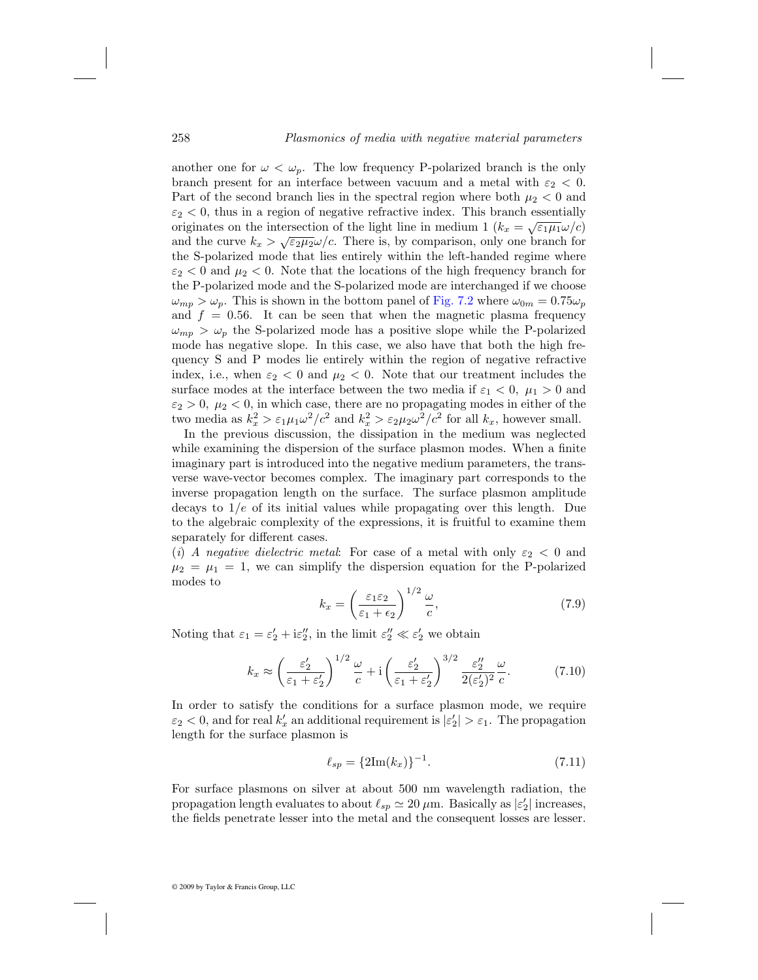another one for  $\omega < \omega_p$ . The low frequency P-polarized branch is the only branch present for an interface between vacuum and a metal with  $\varepsilon_2 < 0$ . Part of the second branch lies in the spectral region where both  $\mu_2 < 0$  and  $\varepsilon_2$  < 0, thus in a region of negative refractive index. This branch essentially originates on the intersection of the light line in medium 1  $(k_x = \sqrt{\epsilon_1 \mu_1} \omega/c)$ and the curve  $k_x > \sqrt{\epsilon_2 \mu_2} \omega/c$ . There is, by comparison, only one branch for the S-polarized mode that lies entirely within the left-handed regime where  $\varepsilon_2$  < 0 and  $\mu_2$  < 0. Note that the locations of the high frequency branch for the P-polarized mode and the S-polarized mode are interchanged if we choose  $\omega_{mn} > \omega_n$ . This is shown in the bottom panel of [Fig. 7.2](#page-4-0) where  $\omega_{0m} = 0.75\omega_n$ and  $f = 0.56$ . It can be seen that when the magnetic plasma frequency  $\omega_{mn} > \omega_n$  the S-polarized mode has a positive slope while the P-polarized mode has negative slope. In this case, we also have that both the high frequency S and P modes lie entirely within the region of negative refractive index, i.e., when  $\varepsilon_2 < 0$  and  $\mu_2 < 0$ . Note that our treatment includes the surface modes at the interface between the two media if  $\varepsilon_1 < 0$ ,  $\mu_1 > 0$  and  $\varepsilon_2 > 0$ ,  $\mu_2 < 0$ , in which case, there are no propagating modes in either of the two media as  $k_x^2 > \varepsilon_1 \mu_1 \omega^2/c^2$  and  $k_x^2 > \varepsilon_2 \mu_2 \omega^2/c^2$  for all  $k_x$ , however small.

In the previous discussion, the dissipation in the medium was neglected while examining the dispersion of the surface plasmon modes. When a finite imaginary part is introduced into the negative medium parameters, the transverse wave-vector becomes complex. The imaginary part corresponds to the inverse propagation length on the surface. The surface plasmon amplitude decays to  $1/e$  of its initial values while propagating over this length. Due to the algebraic complexity of the expressions, it is fruitful to examine them separately for different cases.

(*i*) *A negative dielectric metal:* For case of a metal with only  $\varepsilon_2 < 0$  and  $\mu_2 = \mu_1 = 1$ , we can simplify the dispersion equation for the P-polarized modes to

$$
k_x = \left(\frac{\varepsilon_1 \varepsilon_2}{\varepsilon_1 + \varepsilon_2}\right)^{1/2} \frac{\omega}{c},\tag{7.9}
$$

Noting that  $\varepsilon_1 = \varepsilon_2' + i\varepsilon_2''$ , in the limit  $\varepsilon_2'' \ll \varepsilon_2'$  we obtain

$$
k_x \approx \left(\frac{\varepsilon_2'}{\varepsilon_1 + \varepsilon_2'}\right)^{1/2} \frac{\omega}{c} + \mathrm{i} \left(\frac{\varepsilon_2'}{\varepsilon_1 + \varepsilon_2'}\right)^{3/2} \frac{\varepsilon_2''}{2(\varepsilon_2')^2} \frac{\omega}{c}.\tag{7.10}
$$

In order to satisfy the conditions for a surface plasmon mode, we require  $\varepsilon_2 < 0$ , and for real  $k'_x$  an additional requirement is  $|\varepsilon'_2| > \varepsilon_1$ . The propagation length for the surface plasmon is

$$
\ell_{sp} = \{2\mathrm{Im}(k_x)\}^{-1}.\tag{7.11}
$$

For surface plasmons on silver at about 500 nm wavelength radiation, the propagation length evaluates to about  $\ell_{sp} \simeq 20 \ \mu \text{m}$ . Basically as  $|\varepsilon_2'|$  increases, the fields penetrate lesser into the metal and the consequent losses are lesser.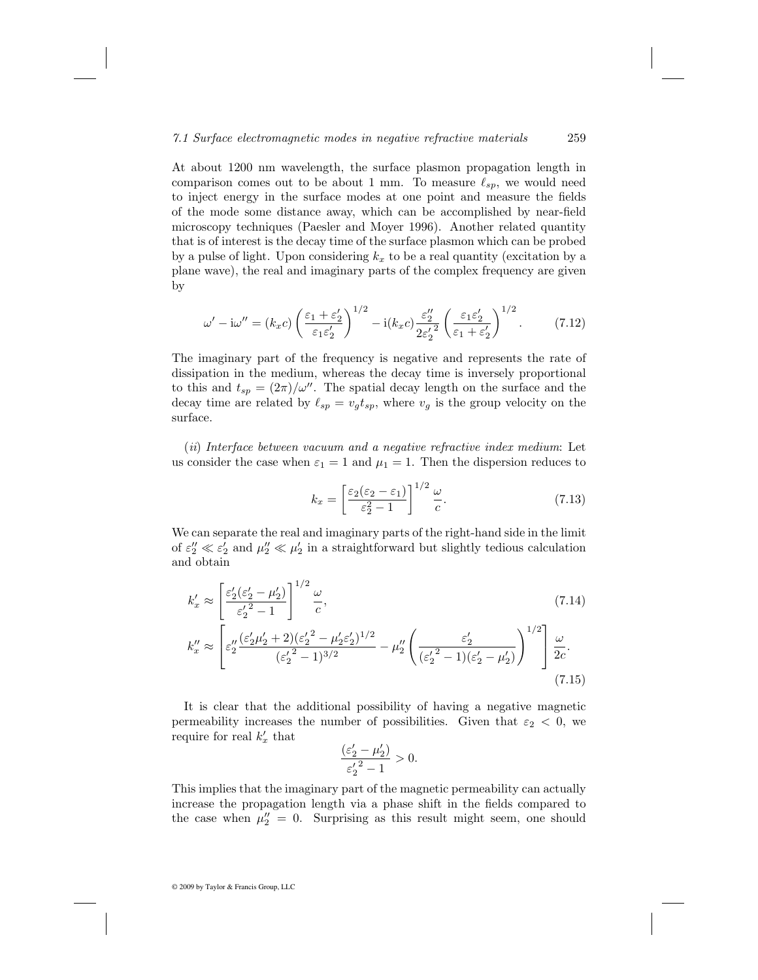At about 1200 nm wavelength, the surface plasmon propagation length in comparison comes out to be about 1 mm. To measure  $\ell_{sp}$ , we would need to inject energy in the surface modes at one point and measure the fields of the mode some distance away, which can be accomplished by near-field microscopy techniques (Paesler and Moyer 1996). Another related quantity that is of interest is the decay time of the surface plasmon which can be probed by a pulse of light. Upon considering  $k_x$  to be a real quantity (excitation by a plane wave), the real and imaginary parts of the complex frequency are given by

$$
\omega' - i\omega'' = (k_x c) \left(\frac{\varepsilon_1 + \varepsilon_2'}{\varepsilon_1 \varepsilon_2'}\right)^{1/2} - i(k_x c) \frac{\varepsilon_2''}{2\varepsilon_2'^2} \left(\frac{\varepsilon_1 \varepsilon_2'}{\varepsilon_1 + \varepsilon_2'}\right)^{1/2}.
$$
 (7.12)

The imaginary part of the frequency is negative and represents the rate of dissipation in the medium, whereas the decay time is inversely proportional to this and  $t_{sn} = (2\pi)/\omega''$ . The spatial decay length on the surface and the decay time are related by  $\ell_{sp} = v_q t_{sp}$ , where  $v_q$  is the group velocity on the surface.

(*ii*) *Interface between vacuum and a negative refractive index medium*: Let us consider the case when  $\varepsilon_1 = 1$  and  $\mu_1 = 1$ . Then the dispersion reduces to

$$
k_x = \left[\frac{\varepsilon_2(\varepsilon_2 - \varepsilon_1)}{\varepsilon_2^2 - 1}\right]^{1/2} \frac{\omega}{c}.\tag{7.13}
$$

We can separate the real and imaginary parts of the right-hand side in the limit of  $\varepsilon''_2 \ll \varepsilon'_2$  and  $\mu''_2 \ll \mu'_2$  in a straightforward but slightly tedious calculation and obtain

$$
k'_x \approx \left[\frac{\varepsilon'_2(\varepsilon'_2 - \mu'_2)}{\varepsilon'_2^2 - 1}\right]^{1/2} \frac{\omega}{c},\tag{7.14}
$$
  

$$
k'' \sim \left[\frac{\varepsilon''(\varepsilon'_2\mu'_2 + 2)(\varepsilon'_2^2 - \mu'_2 \varepsilon'_2)^{1/2}}{\varepsilon''} - \frac{\omega''}{c'}\right]^{1/2} \frac{\omega}{\omega}
$$

$$
k''_x \approx \left[ \varepsilon_2'' \frac{(\varepsilon_2' \mu_2' + 2)(\varepsilon_2'^2 - \mu_2' \varepsilon_2')^{1/2}}{(\varepsilon_2'^2 - 1)^{3/2}} - \mu_2'' \left( \frac{\varepsilon_2'}{(\varepsilon_2'^2 - 1)(\varepsilon_2' - \mu_2')} \right) \right] \frac{\omega}{2c}.
$$
\n(7.15)

It is clear that the additional possibility of having a negative magnetic permeability increases the number of possibilities. Given that  $\varepsilon_2 < 0$ , we require for real  $k'_x$  that

$$
\frac{(\varepsilon_2' - \mu_2')}{\varepsilon_2'^2 - 1} > 0.
$$

This implies that the imaginary part of the magnetic permeability can actually increase the propagation length via a phase shift in the fields compared to the case when  $\mu_2'' = 0$ . Surprising as this result might seem, one should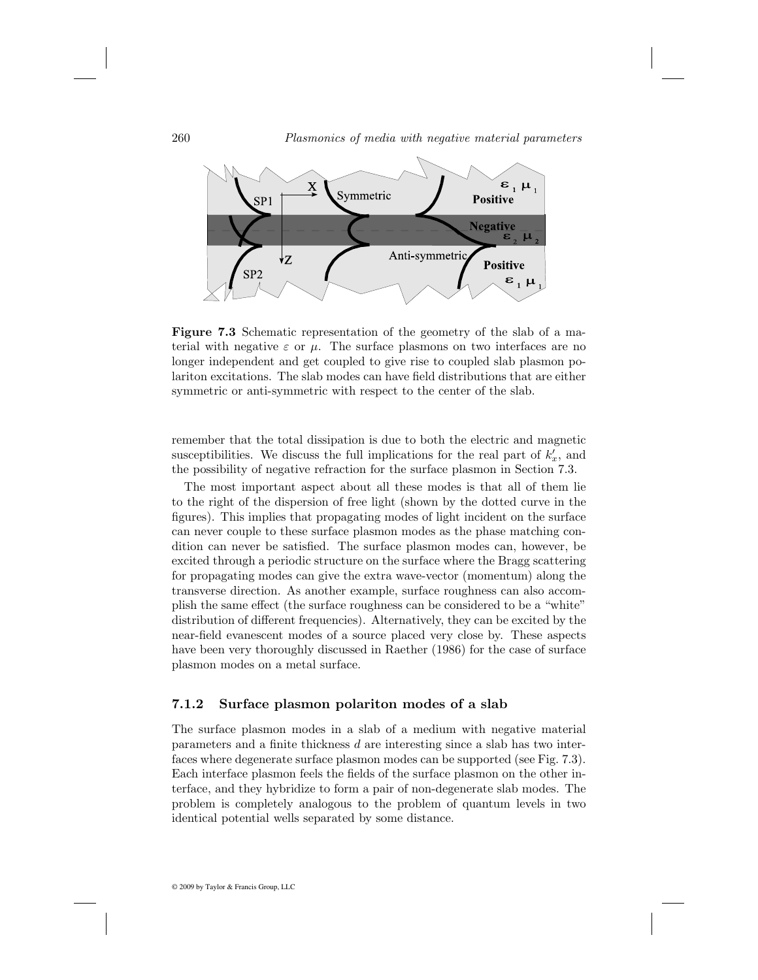<span id="page-7-0"></span>

**Figure 7.3** Schematic representation of the geometry of the slab of a material with negative  $\varepsilon$  or  $\mu$ . The surface plasmons on two interfaces are no longer independent and get coupled to give rise to coupled slab plasmon polariton excitations. The slab modes can have field distributions that are either symmetric or anti-symmetric with respect to the center of the slab.

remember that the total dissipation is due to both the electric and magnetic susceptibilities. We discuss the full implications for the real part of  $k'_x$ , and the possibility of negative refraction for the surface plasmon in Section 7.3.

The most important aspect about all these modes is that all of them lie to the right of the dispersion of free light (shown by the dotted curve in the figures). This implies that propagating modes of light incident on the surface can never couple to these surface plasmon modes as the phase matching condition can never be satisfied. The surface plasmon modes can, however, be excited through a periodic structure on the surface where the Bragg scattering for propagating modes can give the extra wave-vector (momentum) along the transverse direction. As another example, surface roughness can also accomplish the same effect (the surface roughness can be considered to be a "white" distribution of different frequencies). Alternatively, they can be excited by the near-field evanescent modes of a source placed very close by. These aspects have been very thoroughly discussed in Raether (1986) for the case of surface plasmon modes on a metal surface.

### **7.1.2 Surface plasmon polariton modes of a slab**

The surface plasmon modes in a slab of a medium with negative material parameters and a finite thickness d are interesting since a slab has two interfaces where degenerate surface plasmon modes can be supported (see Fig. 7.3). Each interface plasmon feels the fields of the surface plasmon on the other interface, and they hybridize to form a pair of non-degenerate slab modes. The problem is completely analogous to the problem of quantum levels in two identical potential wells separated by some distance.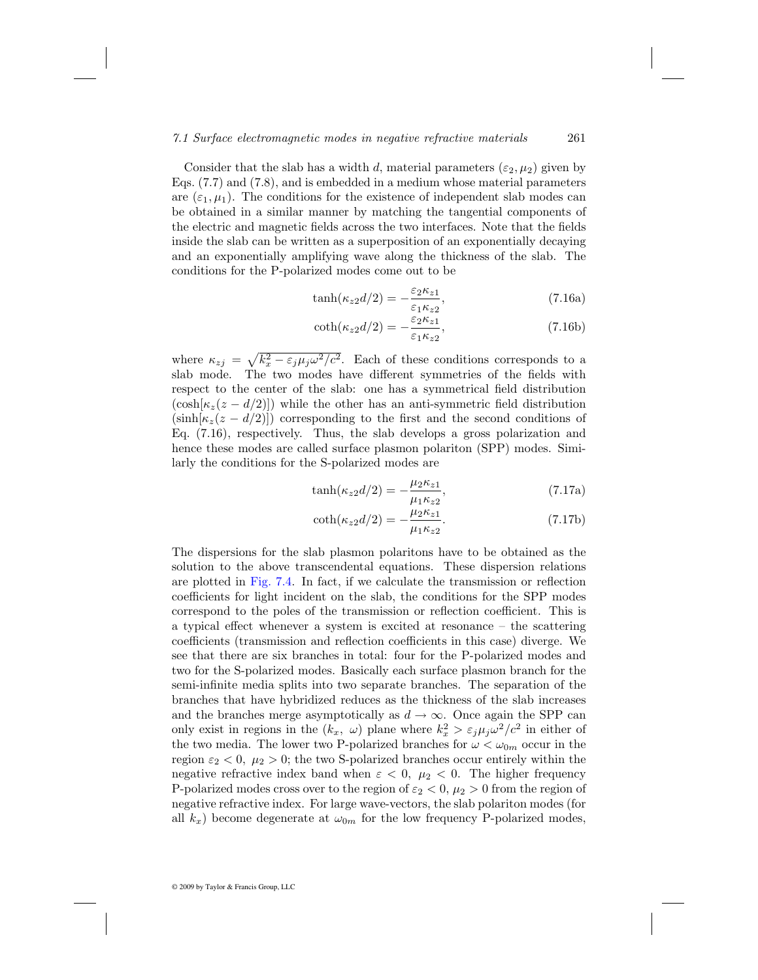#### *7.1 Surface electromagnetic modes in negative refractive materials* 261

Consider that the slab has a width d, material parameters  $(\varepsilon_2, \mu_2)$  given by Eqs. (7.7) and (7.8), and is embedded in a medium whose material parameters are  $(\varepsilon_1, \mu_1)$ . The conditions for the existence of independent slab modes can be obtained in a similar manner by matching the tangential components of the electric and magnetic fields across the two interfaces. Note that the fields inside the slab can be written as a superposition of an exponentially decaying and an exponentially amplifying wave along the thickness of the slab. The conditions for the P-polarized modes come out to be

$$
\tanh(\kappa_{z2}d/2) = -\frac{\varepsilon_2 \kappa_{z1}}{\varepsilon_1 \kappa_{z2}},\tag{7.16a}
$$

$$
\coth(\kappa_{z2}d/2) = -\frac{\varepsilon_2\kappa_{z1}}{\varepsilon_1\kappa_{z2}},\tag{7.16b}
$$

where  $\kappa_{zj} = \sqrt{k_x^2 - \varepsilon_j \mu_j \omega^2/c^2}$ . Each of these conditions corresponds to a slab mode. The two modes have different symmetries of the fields with respect to the center of the slab: one has a symmetrical field distribution  $(\cosh[\kappa_z(z - d/2)])$  while the other has an anti-symmetric field distribution  $(\sinh[\kappa_z(z - d/2)])$  corresponding to the first and the second conditions of Eq. (7.16), respectively. Thus, the slab develops a gross polarization and hence these modes are called surface plasmon polariton (SPP) modes. Similarly the conditions for the S-polarized modes are

$$
\tanh(\kappa_{z2}d/2) = -\frac{\mu_2\kappa_{z1}}{\mu_1\kappa_{z2}},\tag{7.17a}
$$

$$
\coth(\kappa_{z2}d/2) = -\frac{\mu_2 \kappa_{z1}}{\mu_1 \kappa_{z2}}.\tag{7.17b}
$$

The dispersions for the slab plasmon polaritons have to be obtained as the solution to the above transcendental equations. These dispersion relations are plotted in [Fig. 7.4.](#page-9-0) In fact, if we calculate the transmission or reflection coefficients for light incident on the slab, the conditions for the SPP modes correspond to the poles of the transmission or reflection coefficient. This is a typical effect whenever a system is excited at resonance – the scattering coefficients (transmission and reflection coefficients in this case) diverge. We see that there are six branches in total: four for the P-polarized modes and two for the S-polarized modes. Basically each surface plasmon branch for the semi-infinite media splits into two separate branches. The separation of the branches that have hybridized reduces as the thickness of the slab increases and the branches merge asymptotically as  $d \to \infty$ . Once again the SPP can only exist in regions in the  $(k_x, \omega)$  plane where  $k_x^2 > \varepsilon_j \mu_j \omega^2/c^2$  in either of the two media. The lower two P-polarized branches for  $\omega < \omega_{0m}$  occur in the region  $\varepsilon_2 < 0$ ,  $\mu_2 > 0$ ; the two S-polarized branches occur entirely within the negative refractive index band when  $\varepsilon < 0$ ,  $\mu_2 < 0$ . The higher frequency P-polarized modes cross over to the region of  $\varepsilon_2 < 0$ ,  $\mu_2 > 0$  from the region of negative refractive index. For large wave-vectors, the slab polariton modes (for all  $k_x$ ) become degenerate at  $\omega_{0m}$  for the low frequency P-polarized modes,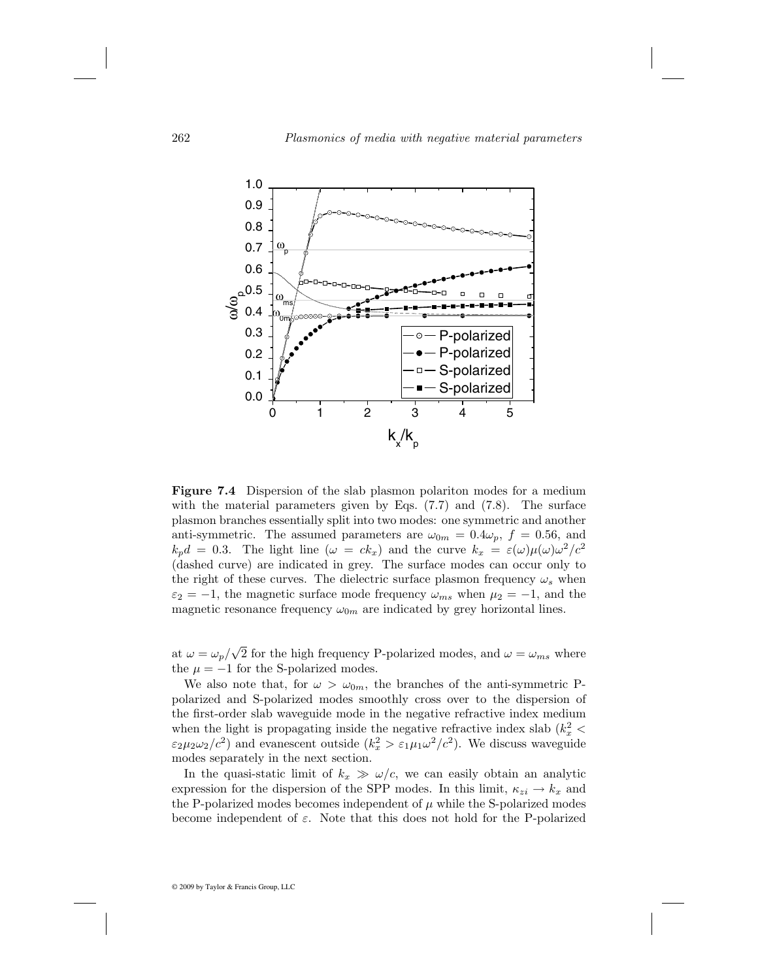<span id="page-9-0"></span>

Figure 7.4 Dispersion of the slab plasmon polariton modes for a medium with the material parameters given by Eqs.  $(7.7)$  and  $(7.8)$ . The surface plasmon branches essentially split into two modes: one symmetric and another anti-symmetric. The assumed parameters are  $\omega_{0m} = 0.4\omega_p$ ,  $f = 0.56$ , and  $k_p d = 0.3$ . The light line  $(\omega = c k_x)$  and the curve  $k_x = \varepsilon(\omega) \mu(\omega) \omega^2/c^2$ (dashed curve) are indicated in grey. The surface modes can occur only to the right of these curves. The dielectric surface plasmon frequency  $\omega_s$  when  $\varepsilon_2 = -1$ , the magnetic surface mode frequency  $\omega_{ms}$  when  $\mu_2 = -1$ , and the magnetic resonance frequency  $\omega_{0m}$  are indicated by grey horizontal lines.

at  $\omega = \omega_p / \sqrt{2}$  for the high frequency P-polarized modes, and  $\omega = \omega_{ms}$  where the  $\mu = -1$  for the S-polarized modes.

We also note that, for  $\omega > \omega_{0m}$ , the branches of the anti-symmetric Ppolarized and S-polarized modes smoothly cross over to the dispersion of the first-order slab waveguide mode in the negative refractive index medium when the light is propagating inside the negative refractive index slab  $(k_x^2 \lt k_y^2)$  $\varepsilon_2\mu_2\omega_2/c^2$ ) and evanescent outside  $(k_x^2 > \varepsilon_1\mu_1\omega^2/c^2)$ . We discuss waveguide modes separately in the next section.

In the quasi-static limit of  $k_x \gg \omega/c$ , we can easily obtain an analytic expression for the dispersion of the SPP modes. In this limit,  $\kappa_{zi} \rightarrow k_x$  and the P-polarized modes becomes independent of  $\mu$  while the S-polarized modes become independent of  $\varepsilon$ . Note that this does not hold for the P-polarized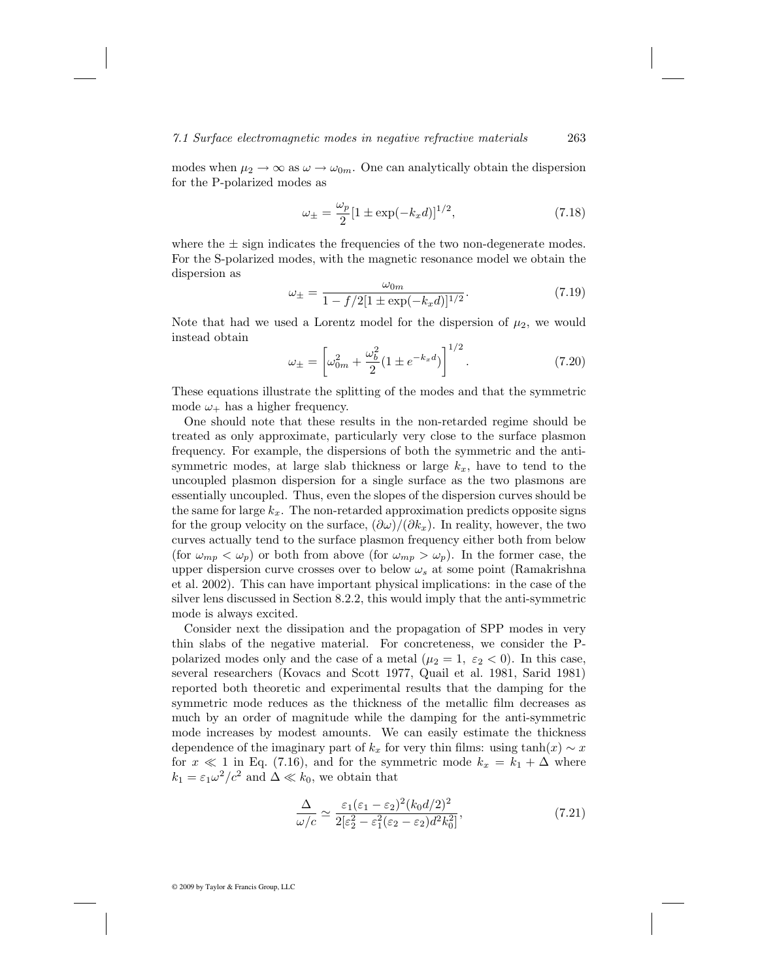<span id="page-10-0"></span>modes when  $\mu_2 \to \infty$  as  $\omega \to \omega_{0m}$ . One can analytically obtain the dispersion for the P-polarized modes as

$$
\omega_{\pm} = \frac{\omega_p}{2} [1 \pm \exp(-k_x d)]^{1/2}, \tag{7.18}
$$

where the  $\pm$  sign indicates the frequencies of the two non-degenerate modes. For the S-polarized modes, with the magnetic resonance model we obtain the dispersion as

$$
\omega_{\pm} = \frac{\omega_{0m}}{1 - f/2[1 \pm \exp(-k_x d)]^{1/2}}.\tag{7.19}
$$

Note that had we used a Lorentz model for the dispersion of  $\mu_2$ , we would instead obtain

$$
\omega_{\pm} = \left[ \omega_{0m}^2 + \frac{\omega_b^2}{2} (1 \pm e^{-k_x d}) \right]^{1/2} . \tag{7.20}
$$

These equations illustrate the splitting of the modes and that the symmetric mode  $\omega_+$  has a higher frequency.

One should note that these results in the non-retarded regime should be treated as only approximate, particularly very close to the surface plasmon frequency. For example, the dispersions of both the symmetric and the antisymmetric modes, at large slab thickness or large  $k_x$ , have to tend to the uncoupled plasmon dispersion for a single surface as the two plasmons are essentially uncoupled. Thus, even the slopes of the dispersion curves should be the same for large  $k_x$ . The non-retarded approximation predicts opposite signs for the group velocity on the surface,  $(\partial \omega)/(\partial k_x)$ . In reality, however, the two curves actually tend to the surface plasmon frequency either both from below (for  $\omega_{mp} < \omega_p$ ) or both from above (for  $\omega_{mp} > \omega_p$ ). In the former case, the upper dispersion curve crosses over to below  $\omega_s$  at some point (Ramakrishna et al. 2002). This can have important physical implications: in the case of the silver lens discussed in Section 8.2.2, this would imply that the anti-symmetric mode is always excited.

Consider next the dissipation and the propagation of SPP modes in very thin slabs of the negative material. For concreteness, we consider the Ppolarized modes only and the case of a metal ( $\mu_2 = 1$ ,  $\varepsilon_2 < 0$ ). In this case, several researchers (Kovacs and Scott 1977, Quail et al. 1981, Sarid 1981) reported both theoretic and experimental results that the damping for the symmetric mode reduces as the thickness of the metallic film decreases as much by an order of magnitude while the damping for the anti-symmetric mode increases by modest amounts. We can easily estimate the thickness dependence of the imaginary part of  $k_x$  for very thin films: using tanh $(x) \sim x$ for  $x \ll 1$  in Eq. (7.16), and for the symmetric mode  $k_x = k_1 + \Delta$  where  $k_1 = \varepsilon_1 \omega^2/c^2$  and  $\Delta \ll k_0$ , we obtain that

$$
\frac{\Delta}{\omega/c} \simeq \frac{\varepsilon_1(\varepsilon_1 - \varepsilon_2)^2 (k_0 d/2)^2}{2[\varepsilon_2^2 - \varepsilon_1^2(\varepsilon_2 - \varepsilon_2)d^2k_0^2]},
$$
\n(7.21)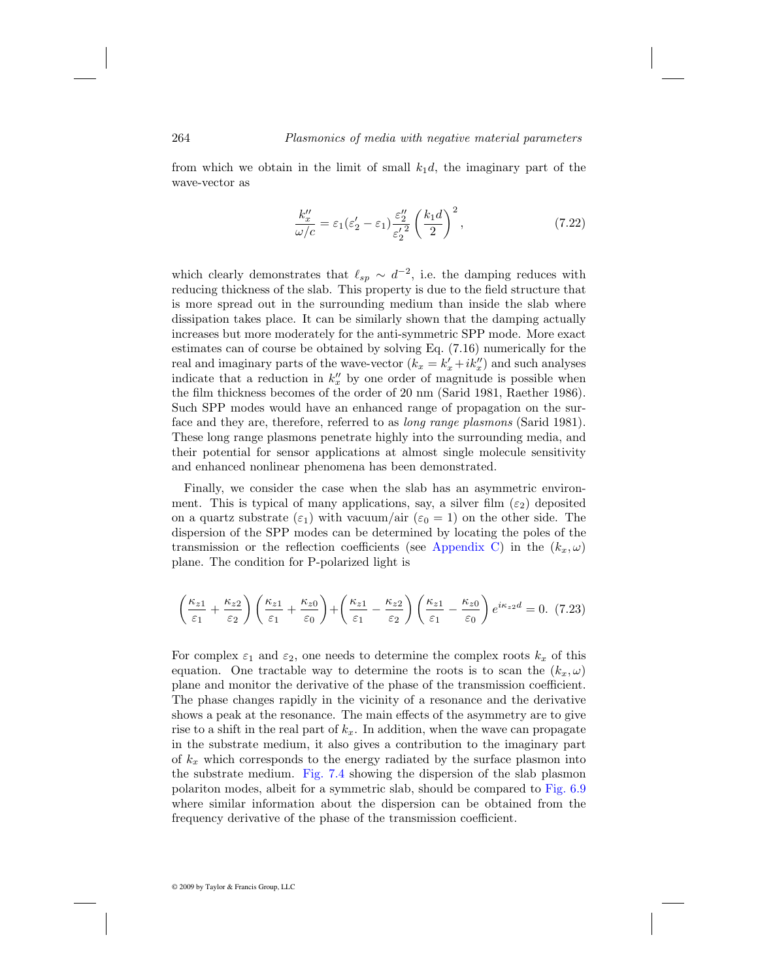from which we obtain in the limit of small  $k_1d$ , the imaginary part of the wave-vector as

$$
\frac{k''_x}{\omega/c} = \varepsilon_1 (\varepsilon_2' - \varepsilon_1) \frac{\varepsilon_2''}{\varepsilon_2'^2} \left(\frac{k_1 d}{2}\right)^2, \tag{7.22}
$$

which clearly demonstrates that  $\ell_{sp} \sim d^{-2}$ , i.e. the damping reduces with reducing thickness of the slab. This property is due to the field structure that is more spread out in the surrounding medium than inside the slab where dissipation takes place. It can be similarly shown that the damping actually increases but more moderately for the anti-symmetric SPP mode. More exact estimates can of course be obtained by solving Eq. (7.16) numerically for the real and imaginary parts of the wave-vector  $(k_x = k'_x + ik''_x)$  and such analyses indicate that a reduction in  $k''_x$  by one order of magnitude is possible when the film thickness becomes of the order of 20 nm (Sarid 1981, Raether 1986). Such SPP modes would have an enhanced range of propagation on the surface and they are, therefore, referred to as *long range plasmons* (Sarid 1981). These long range plasmons penetrate highly into the surrounding media, and their potential for sensor applications at almost single molecule sensitivity and enhanced nonlinear phenomena has been demonstrated.

Finally, we consider the case when the slab has an asymmetric environment. This is typical of many applications, say, a silver film  $(\varepsilon_2)$  deposited on a quartz substrate  $(\varepsilon_1)$  with vacuum/air  $(\varepsilon_0 = 1)$  on the other side. The dispersion of the SPP modes can be determined by locating the poles of the transmission or the reflection coefficients (see Appendix C) in the  $(k_x,\omega)$ plane. The condition for P-polarized light is

$$
\left(\frac{\kappa_{z1}}{\varepsilon_1} + \frac{\kappa_{z2}}{\varepsilon_2}\right) \left(\frac{\kappa_{z1}}{\varepsilon_1} + \frac{\kappa_{z0}}{\varepsilon_0}\right) + \left(\frac{\kappa_{z1}}{\varepsilon_1} - \frac{\kappa_{z2}}{\varepsilon_2}\right) \left(\frac{\kappa_{z1}}{\varepsilon_1} - \frac{\kappa_{z0}}{\varepsilon_0}\right) e^{i\kappa_{z2}d} = 0. (7.23)
$$

For complex  $\varepsilon_1$  and  $\varepsilon_2$ , one needs to determine the complex roots  $k_x$  of this equation. One tractable way to determine the roots is to scan the  $(k_x,\omega)$ plane and monitor the derivative of the phase of the transmission coefficient. The phase changes rapidly in the vicinity of a resonance and the derivative shows a peak at the resonance. The main effects of the asymmetry are to give rise to a shift in the real part of  $k_x$ . In addition, when the wave can propagate in the substrate medium, it also gives a contribution to the imaginary part of  $k_x$  which corresponds to the energy radiated by the surface plasmon into the substrate medium. [Fig. 7.4](#page-9-0) showing the dispersion of the slab plasmon polariton modes, albeit for a symmetric slab, should be compared to [Fig. 6.9](#page-25-0) where similar information about the dispersion can be obtained from the frequency derivative of the phase of the transmission coefficient.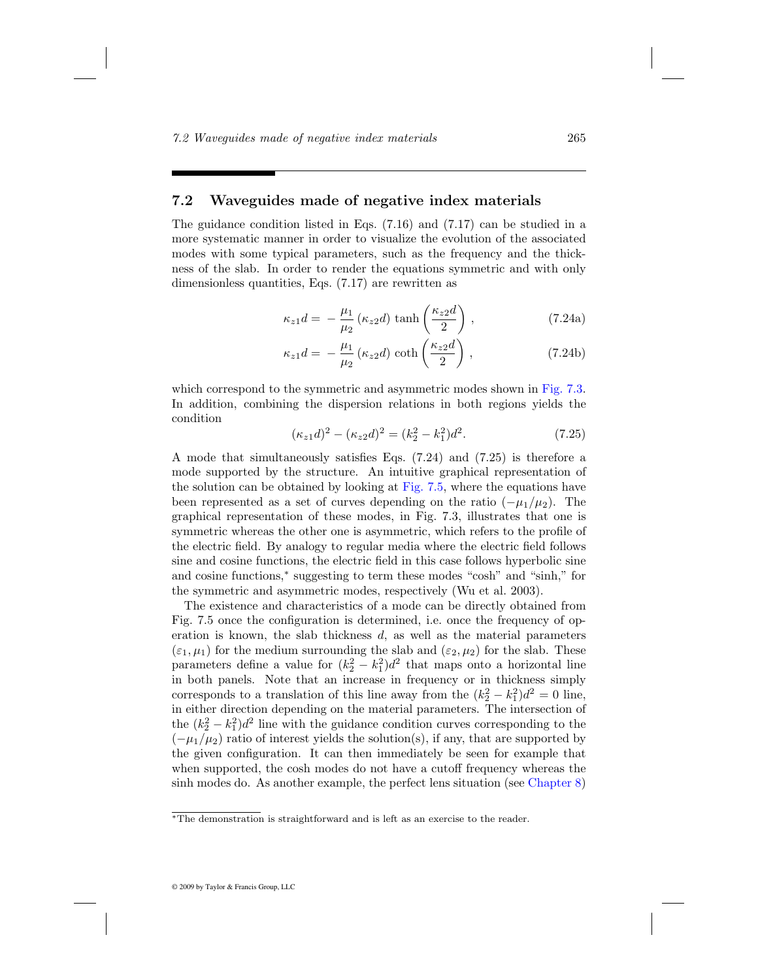# **7.2 Waveguides made of negative index materials**

The guidance condition listed in Eqs. (7.16) and (7.17) can be studied in a more systematic manner in order to visualize the evolution of the associated modes with some typical parameters, such as the frequency and the thickness of the slab. In order to render the equations symmetric and with only dimensionless quantities, Eqs. (7.17) are rewritten as

$$
\kappa_{z1}d = -\frac{\mu_1}{\mu_2} \left(\kappa_{z2}d\right) \tanh\left(\frac{\kappa_{z2}d}{2}\right),\tag{7.24a}
$$

$$
\kappa_{z1}d = -\frac{\mu_1}{\mu_2} \left(\kappa_{z2}d\right) \coth\left(\frac{\kappa_{z2}d}{2}\right),\tag{7.24b}
$$

which correspond to the symmetric and asymmetric modes shown in [Fig. 7.3.](#page-7-0) In addition, combining the dispersion relations in both regions yields the condition

$$
(\kappa_{z1}d)^2 - (\kappa_{z2}d)^2 = (k_2^2 - k_1^2)d^2.
$$
\n(7.25)

A mode that simultaneously satisfies Eqs. (7.24) and (7.25) is therefore a mode supported by the structure. An intuitive graphical representation of the solution can be obtained by looking at [Fig. 7.5](#page-13-0), where the equations have been represented as a set of curves depending on the ratio  $(-\mu_1/\mu_2)$ . The graphical representation of these modes, in Fig. 7.3, illustrates that one is symmetric whereas the other one is asymmetric, which refers to the profile of the electric field. By analogy to regular media where the electric field follows sine and cosine functions, the electric field in this case follows hyperbolic sine and cosine functions,<sup>∗</sup> suggesting to term these modes "cosh" and "sinh," for the symmetric and asymmetric modes, respectively (Wu et al. 2003).

The existence and characteristics of a mode can be directly obtained from Fig. 7.5 once the configuration is determined, i.e. once the frequency of operation is known, the slab thickness  $d$ , as well as the material parameters  $(\varepsilon_1,\mu_1)$  for the medium surrounding the slab and  $(\varepsilon_2,\mu_2)$  for the slab. These parameters define a value for  $(k_2^2 - k_1^2)d^2$  that maps onto a horizontal line in both panels. Note that an increase in frequency or in thickness simply corresponds to a translation of this line away from the  $(k_2^2 - k_1^2)d^2 = 0$  line, in either direction depending on the material parameters. The intersection of the  $(k_2^2 - k_1^2)d^2$  line with the guidance condition curves corresponding to the  $(-\mu_1/\mu_2)$  ratio of interest yields the solution(s), if any, that are supported by the given configuration. It can then immediately be seen for example that when supported, the cosh modes do not have a cutoff frequency whereas the sinh modes do. As another example, the perfect lens situation (see Chapter 8)

<sup>∗</sup>The demonstration is straightforward and is left as an exercise to the reader.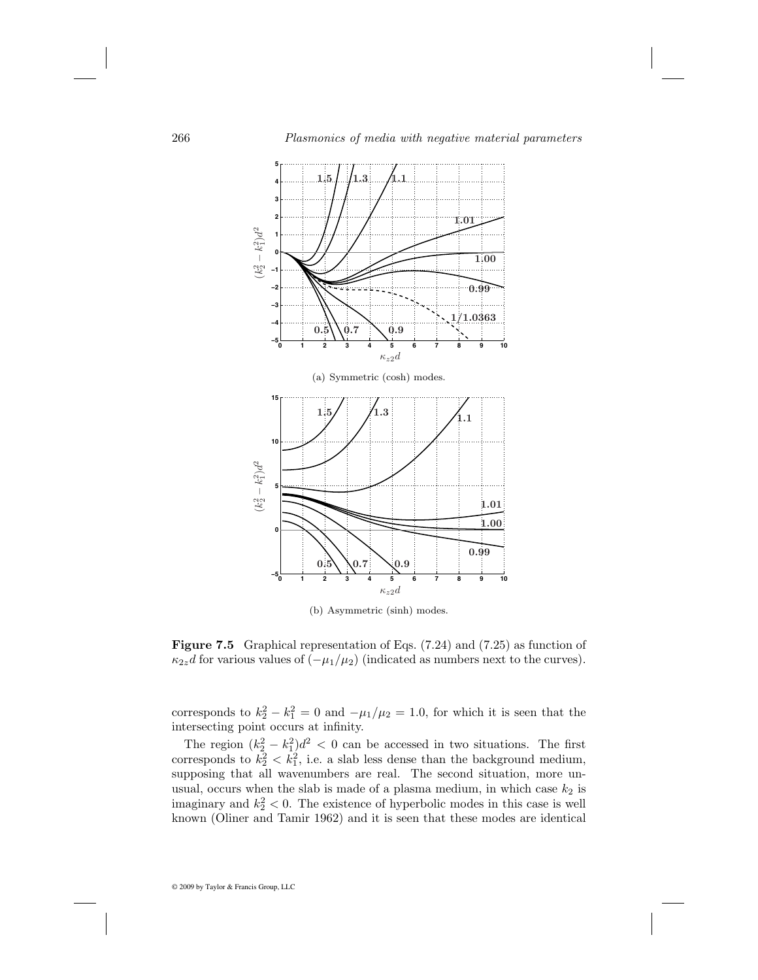<span id="page-13-0"></span>

(b) Asymmetric (sinh) modes.

**Figure 7.5** Graphical representation of Eqs. (7.24) and (7.25) as function of  $\kappa_{2z}d$  for various values of  $(-\mu_1/\mu_2)$  (indicated as numbers next to the curves).

corresponds to  $k_2^2 - k_1^2 = 0$  and  $-\mu_1/\mu_2 = 1.0$ , for which it is seen that the intersecting point occurs at infinity.

The region  $(k_2^2 - k_1^2)d^2 < 0$  can be accessed in two situations. The first corresponds to  $k_2^2 < k_1^2$ , i.e. a slab less dense than the background medium, supposing that all wavenumbers are real. The second situation, more unusual, occurs when the slab is made of a plasma medium, in which case  $k_2$  is imaginary and  $k_2^2 < 0$ . The existence of hyperbolic modes in this case is well known (Oliner and Tamir 1962) and it is seen that these modes are identical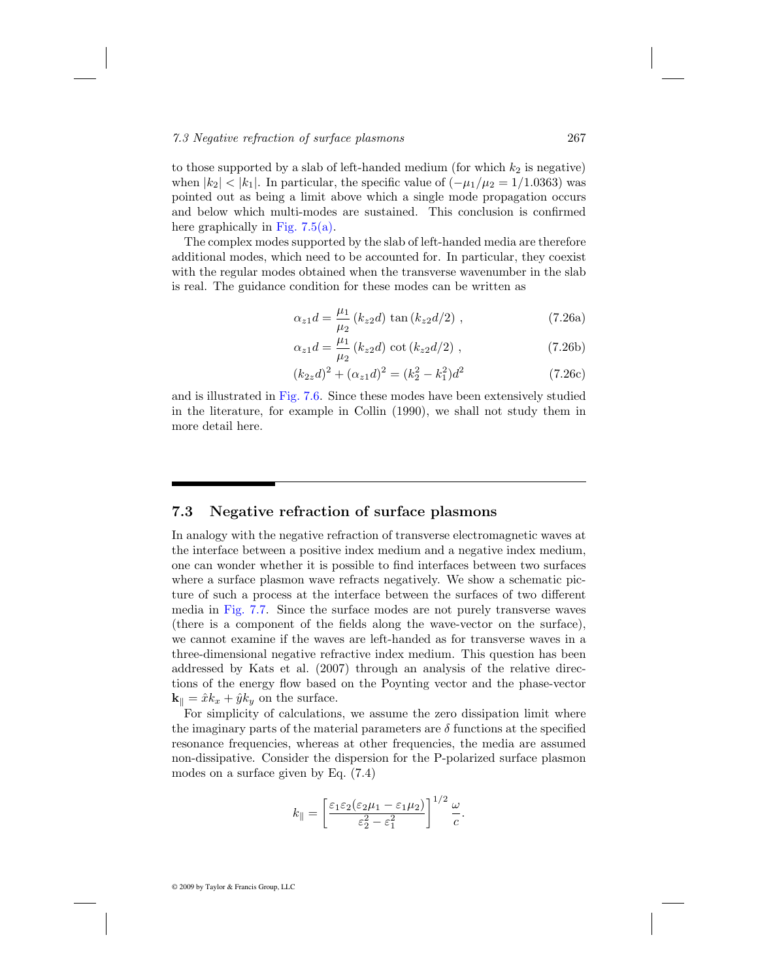to those supported by a slab of left-handed medium (for which  $k_2$  is negative) when  $|k_2| < |k_1|$ . In particular, the specific value of  $(-\mu_1/\mu_2 = 1/1.0363)$  was pointed out as being a limit above which a single mode propagation occurs and below which multi-modes are sustained. This conclusion is confirmed here graphically in [Fig. 7.5\(a\)](#page-13-0).

The complex modes supported by the slab of left-handed media are therefore additional modes, which need to be accounted for. In particular, they coexist with the regular modes obtained when the transverse wavenumber in the slab is real. The guidance condition for these modes can be written as

$$
\alpha_{z1}d = \frac{\mu_1}{\mu_2} (k_{z2}d) \tan(k_{z2}d/2) , \qquad (7.26a)
$$

$$
\alpha_{z1}d = \frac{\mu_1}{\mu_2} (k_{z2}d) \cot(k_{z2}d/2) , \qquad (7.26b)
$$

$$
(k_{2z}d)^{2} + (\alpha_{z1}d)^{2} = (k_{2}^{2} - k_{1}^{2})d^{2}
$$
\n(7.26c)

and is illustrated in [Fig. 7.6](#page-15-0). Since these modes have been extensively studied in the literature, for example in Collin (1990), we shall not study them in more detail here.

## **7.3 Negative refraction of surface plasmons**

In analogy with the negative refraction of transverse electromagnetic waves at the interface between a positive index medium and a negative index medium, one can wonder whether it is possible to find interfaces between two surfaces where a surface plasmon wave refracts negatively. We show a schematic picture of such a process at the interface between the surfaces of two different media in [Fig. 7.7](#page-16-0). Since the surface modes are not purely transverse waves (there is a component of the fields along the wave-vector on the surface), we cannot examine if the waves are left-handed as for transverse waves in a three-dimensional negative refractive index medium. This question has been addressed by Kats et al. (2007) through an analysis of the relative directions of the energy flow based on the Poynting vector and the phase-vector  $\mathbf{k}_{\parallel} = \hat{x}k_x + \hat{y}k_y$  on the surface.

For simplicity of calculations, we assume the zero dissipation limit where the imaginary parts of the material parameters are  $\delta$  functions at the specified resonance frequencies, whereas at other frequencies, the media are assumed non-dissipative. Consider the dispersion for the P-polarized surface plasmon modes on a surface given by Eq. (7.4)

$$
k_{\parallel} = \left[ \frac{\varepsilon_1 \varepsilon_2 (\varepsilon_2 \mu_1 - \varepsilon_1 \mu_2)}{\varepsilon_2^2 - \varepsilon_1^2} \right]^{1/2} \frac{\omega}{c}.
$$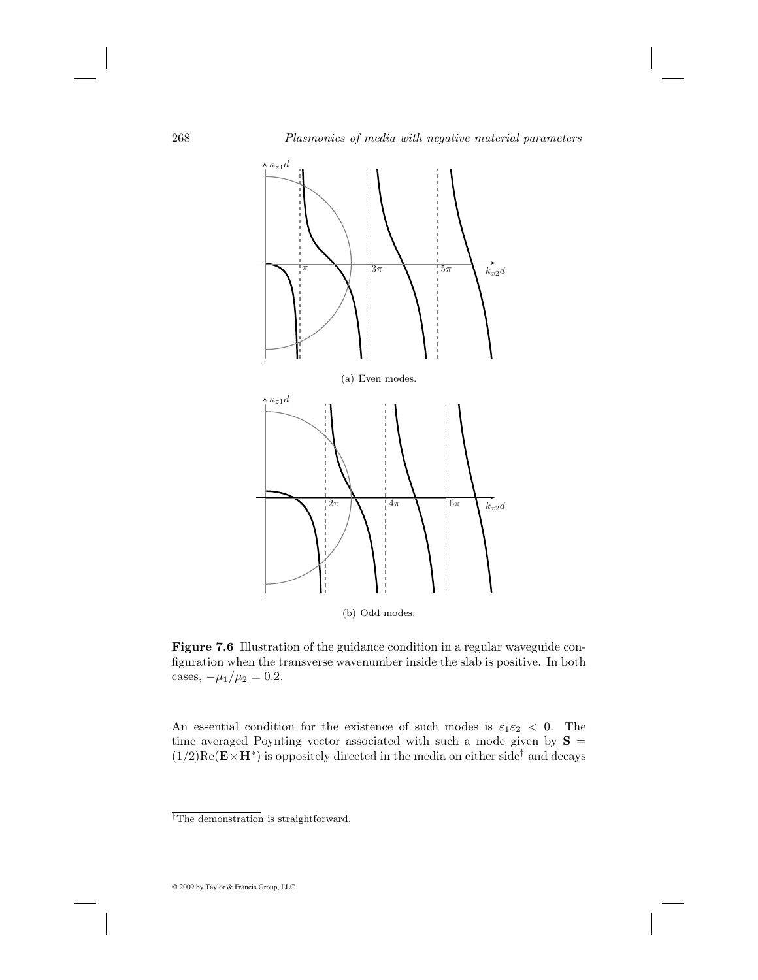<span id="page-15-0"></span>

Figure 7.6 Illustration of the guidance condition in a regular waveguide configuration when the transverse wavenumber inside the slab is positive. In both cases,  $-\mu_1/\mu_2 = 0.2$ .

An essential condition for the existence of such modes is  $\varepsilon_1 \varepsilon_2 < 0$ . The time averaged Poynting vector associated with such a mode given by  $S =$  $(1/2)Re(E \times H^*)$  is oppositely directed in the media on either side<sup>†</sup> and decays

<sup>†</sup>The demonstration is straightforward.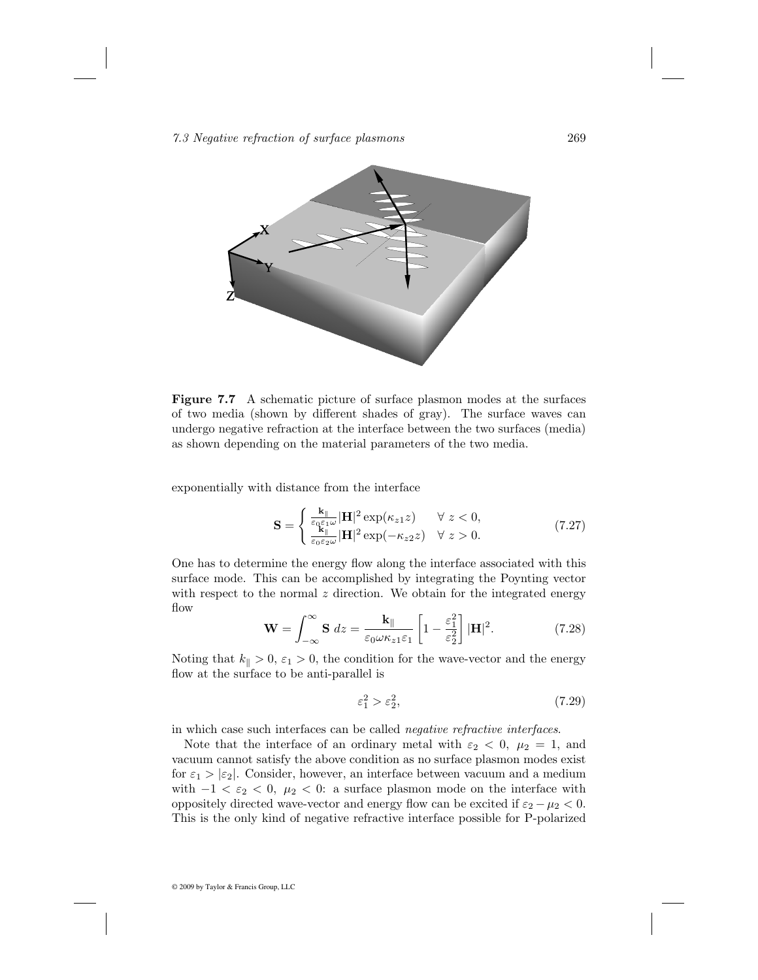<span id="page-16-0"></span>

**Figure 7.7** A schematic picture of surface plasmon modes at the surfaces of two media (shown by different shades of gray). The surface waves can undergo negative refraction at the interface between the two surfaces (media) as shown depending on the material parameters of the two media.

exponentially with distance from the interface

$$
\mathbf{S} = \begin{cases} \frac{\mathbf{k}_{\parallel}}{\varepsilon_{0}\varepsilon_{1}\omega}|\mathbf{H}|^{2} \exp(\kappa_{z1}z) & \forall z < 0, \\ \frac{\mathbf{k}_{\parallel}}{\varepsilon_{0}\varepsilon_{2}\omega}|\mathbf{H}|^{2} \exp(-\kappa_{z2}z) & \forall z > 0. \end{cases}
$$
(7.27)

One has to determine the energy flow along the interface associated with this surface mode. This can be accomplished by integrating the Poynting vector with respect to the normal  $z$  direction. We obtain for the integrated energy flow

$$
\mathbf{W} = \int_{-\infty}^{\infty} \mathbf{S} \, dz = \frac{\mathbf{k}_{\parallel}}{\varepsilon_0 \omega \kappa_{z1} \varepsilon_1} \left[ 1 - \frac{\varepsilon_1^2}{\varepsilon_2^2} \right] |\mathbf{H}|^2. \tag{7.28}
$$

Noting that  $k_{\parallel} > 0$ ,  $\varepsilon_1 > 0$ , the condition for the wave-vector and the energy flow at the surface to be anti-parallel is

$$
\varepsilon_1^2 > \varepsilon_2^2,\tag{7.29}
$$

in which case such interfaces can be called *negative refractive interfaces*.

Note that the interface of an ordinary metal with  $\varepsilon_2 < 0$ ,  $\mu_2 = 1$ , and vacuum cannot satisfy the above condition as no surface plasmon modes exist for  $\varepsilon_1 > |\varepsilon_2|$ . Consider, however, an interface between vacuum and a medium with  $-1 < \varepsilon_2 < 0$ ,  $\mu_2 < 0$ : a surface plasmon mode on the interface with oppositely directed wave-vector and energy flow can be excited if  $\varepsilon_2 - \mu_2 < 0$ . This is the only kind of negative refractive interface possible for P-polarized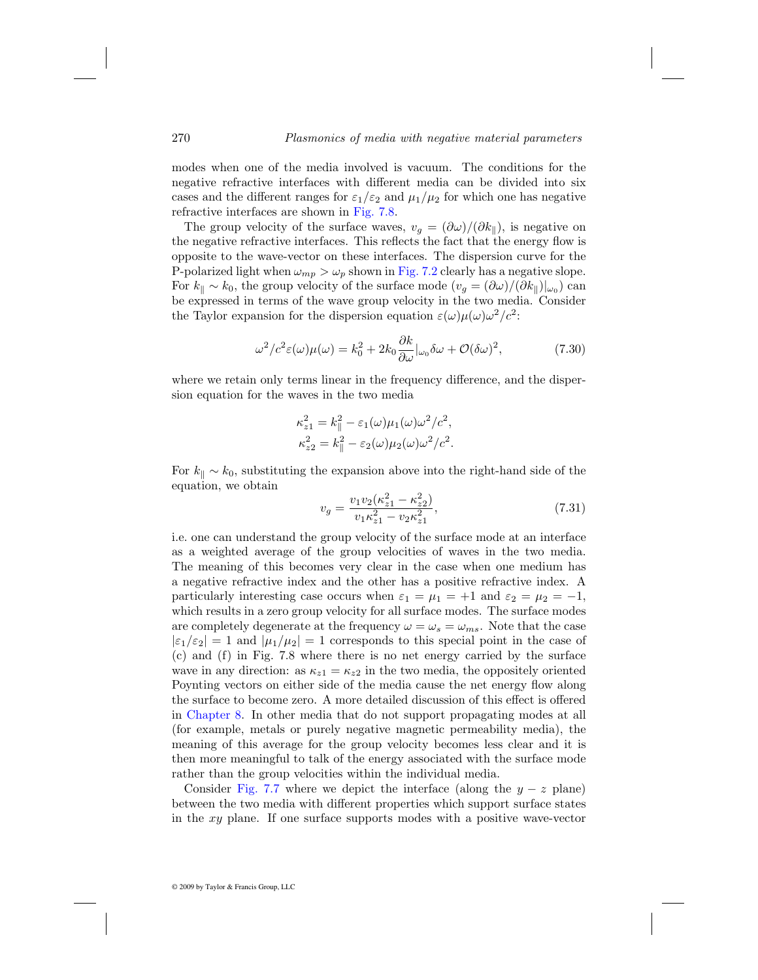modes when one of the media involved is vacuum. The conditions for the negative refractive interfaces with different media can be divided into six cases and the different ranges for  $\varepsilon_1/\varepsilon_2$  and  $\mu_1/\mu_2$  for which one has negative refractive interfaces are shown in [Fig. 7.8.](#page-18-0)

The group velocity of the surface waves,  $v_g = (\partial \omega)/(\partial k_{\parallel})$ , is negative on the negative refractive interfaces. This reflects the fact that the energy flow is opposite to the wave-vector on these interfaces. The dispersion curve for the P-polarized light when  $\omega_{mn} > \omega_n$  shown in [Fig. 7.2](#page-4-0) clearly has a negative slope. For  $k_{\parallel} \sim k_0$ , the group velocity of the surface mode  $(v_a = (\partial \omega)/(\partial k_{\parallel})|_{\omega_0})$  can be expressed in terms of the wave group velocity in the two media. Consider the Taylor expansion for the dispersion equation  $\varepsilon(\omega)\mu(\omega)\omega^2/c^2$ :

$$
\omega^2/c^2 \varepsilon(\omega)\mu(\omega) = k_0^2 + 2k_0 \frac{\partial k}{\partial \omega} \vert_{\omega_0} \delta \omega + \mathcal{O}(\delta \omega)^2, \tag{7.30}
$$

where we retain only terms linear in the frequency difference, and the dispersion equation for the waves in the two media

$$
\kappa_{z1}^2 = k_{\parallel}^2 - \varepsilon_1(\omega)\mu_1(\omega)\omega^2/c^2,
$$
  

$$
\kappa_{z2}^2 = k_{\parallel}^2 - \varepsilon_2(\omega)\mu_2(\omega)\omega^2/c^2.
$$

For  $k_{\parallel}$  ∼  $k_0$ , substituting the expansion above into the right-hand side of the equation, we obtain

$$
v_g = \frac{v_1 v_2 (\kappa_{z1}^2 - \kappa_{z2}^2)}{v_1 \kappa_{z1}^2 - v_2 \kappa_{z1}^2},\tag{7.31}
$$

i.e. one can understand the group velocity of the surface mode at an interface as a weighted average of the group velocities of waves in the two media. The meaning of this becomes very clear in the case when one medium has a negative refractive index and the other has a positive refractive index. A particularly interesting case occurs when  $\varepsilon_1 = \mu_1 = +1$  and  $\varepsilon_2 = \mu_2 = -1$ , which results in a zero group velocity for all surface modes. The surface modes are completely degenerate at the frequency  $\omega = \omega_s = \omega_{ms}$ . Note that the case  $|\varepsilon_1/\varepsilon_2| = 1$  and  $|\mu_1/\mu_2| = 1$  corresponds to this special point in the case of (c) and (f) in Fig. 7.8 where there is no net energy carried by the surface wave in any direction: as  $\kappa_{z1} = \kappa_{z2}$  in the two media, the oppositely oriented Poynting vectors on either side of the media cause the net energy flow along the surface to become zero. A more detailed discussion of this effect is offered in Chapter 8. In other media that do not support propagating modes at all (for example, metals or purely negative magnetic permeability media), the meaning of this average for the group velocity becomes less clear and it is then more meaningful to talk of the energy associated with the surface mode rather than the group velocities within the individual media.

Consider [Fig. 7.7](#page-16-0) where we depict the interface (along the  $y - z$  plane) between the two media with different properties which support surface states in the xy plane. If one surface supports modes with a positive wave-vector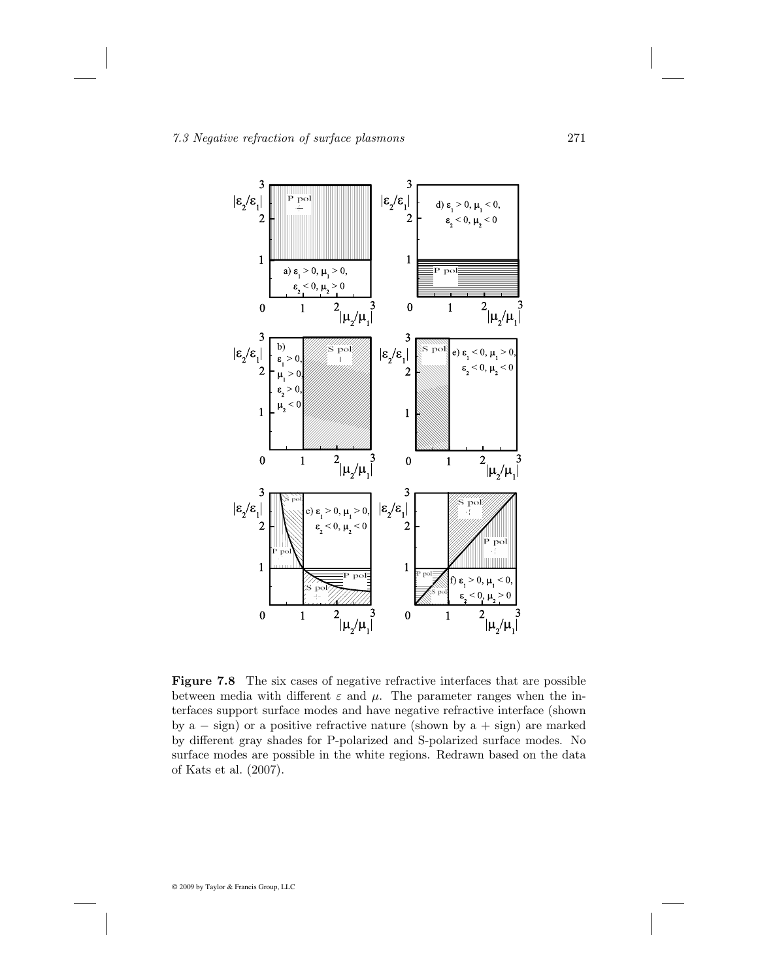<span id="page-18-0"></span>

**Figure 7.8** The six cases of negative refractive interfaces that are possible between media with different  $\varepsilon$  and  $\mu$ . The parameter ranges when the interfaces support surface modes and have negative refractive interface (shown by  $a - sign$  or a positive refractive nature (shown by  $a + sign$ ) are marked by different gray shades for P-polarized and S-polarized surface modes. No surface modes are possible in the white regions. Redrawn based on the data of Kats et al. (2007).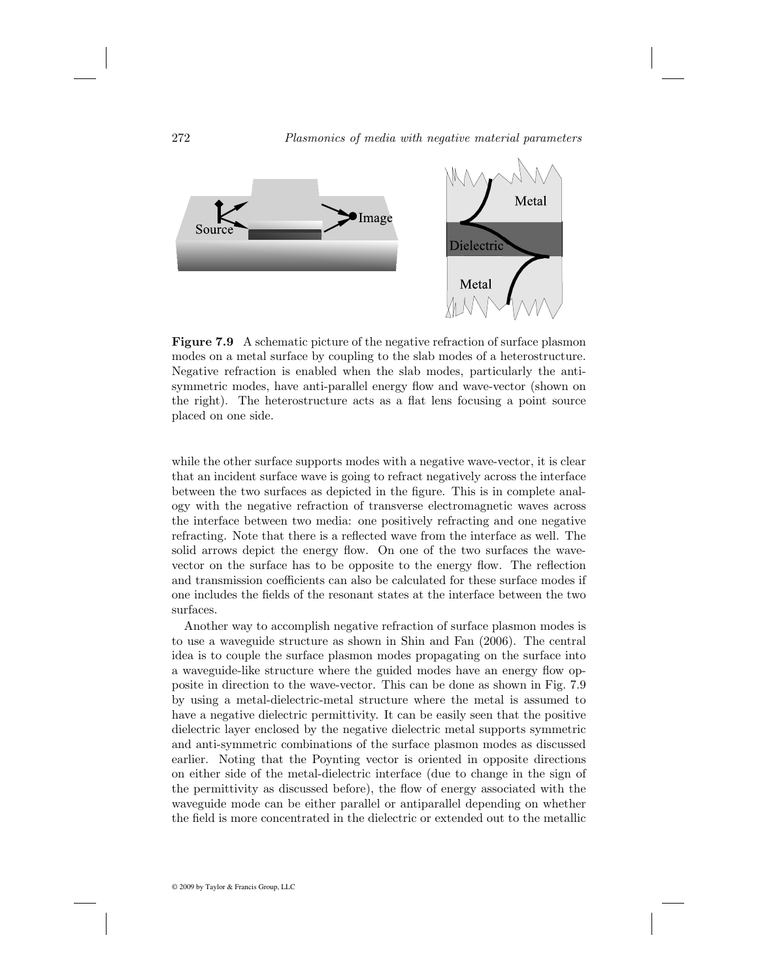<span id="page-19-0"></span>

**Figure 7.9** A schematic picture of the negative refraction of surface plasmon modes on a metal surface by coupling to the slab modes of a heterostructure. Negative refraction is enabled when the slab modes, particularly the antisymmetric modes, have anti-parallel energy flow and wave-vector (shown on the right). The heterostructure acts as a flat lens focusing a point source placed on one side.

while the other surface supports modes with a negative wave-vector, it is clear that an incident surface wave is going to refract negatively across the interface between the two surfaces as depicted in the figure. This is in complete analogy with the negative refraction of transverse electromagnetic waves across the interface between two media: one positively refracting and one negative refracting. Note that there is a reflected wave from the interface as well. The solid arrows depict the energy flow. On one of the two surfaces the wavevector on the surface has to be opposite to the energy flow. The reflection and transmission coefficients can also be calculated for these surface modes if one includes the fields of the resonant states at the interface between the two surfaces.

Another way to accomplish negative refraction of surface plasmon modes is to use a waveguide structure as shown in Shin and Fan (2006). The central idea is to couple the surface plasmon modes propagating on the surface into a waveguide-like structure where the guided modes have an energy flow opposite in direction to the wave-vector. This can be done as shown in Fig. 7.9 by using a metal-dielectric-metal structure where the metal is assumed to have a negative dielectric permittivity. It can be easily seen that the positive dielectric layer enclosed by the negative dielectric metal supports symmetric and anti-symmetric combinations of the surface plasmon modes as discussed earlier. Noting that the Poynting vector is oriented in opposite directions on either side of the metal-dielectric interface (due to change in the sign of the permittivity as discussed before), the flow of energy associated with the waveguide mode can be either parallel or antiparallel depending on whether the field is more concentrated in the dielectric or extended out to the metallic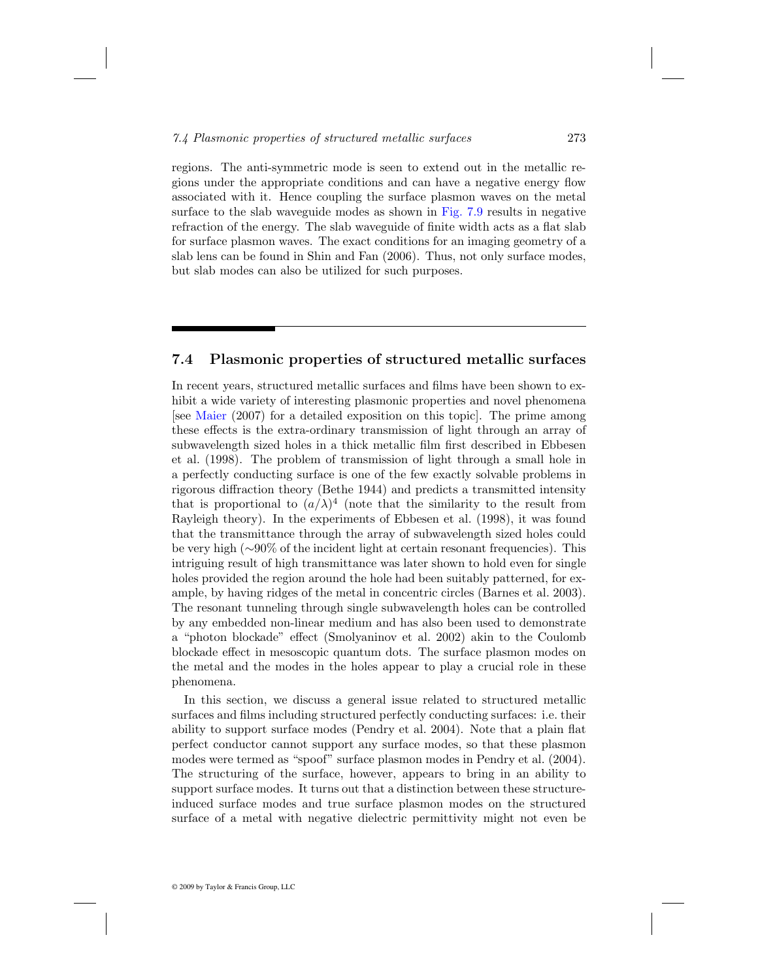regions. The anti-symmetric mode is seen to extend out in the metallic regions under the appropriate conditions and can have a negative energy flow associated with it. Hence coupling the surface plasmon waves on the metal surface to the slab waveguide modes as shown in [Fig. 7.9](#page-19-0) results in negative refraction of the energy. The slab waveguide of finite width acts as a flat slab for surface plasmon waves. The exact conditions for an imaging geometry of a slab lens can be found in Shin and Fan (2006). Thus, not only surface modes, but slab modes can also be utilized for such purposes.

## **7.4 Plasmonic properties of structured metallic surfaces**

In recent years, structured metallic surfaces and films have been shown to exhibit a wide variety of interesting plasmonic properties and novel phenomena [see [Maier](#page-10-0) (2007) for a detailed exposition on this topic]. The prime among these effects is the extra-ordinary transmission of light through an array of subwavelength sized holes in a thick metallic film first described in Ebbesen et al. (1998). The problem of transmission of light through a small hole in a perfectly conducting surface is one of the few exactly solvable problems in rigorous diffraction theory (Bethe 1944) and predicts a transmitted intensity that is proportional to  $(a/\lambda)^4$  (note that the similarity to the result from Rayleigh theory). In the experiments of Ebbesen et al. (1998), it was found that the transmittance through the array of subwavelength sized holes could be very high (∼90% of the incident light at certain resonant frequencies). This intriguing result of high transmittance was later shown to hold even for single holes provided the region around the hole had been suitably patterned, for example, by having ridges of the metal in concentric circles (Barnes et al. 2003). The resonant tunneling through single subwavelength holes can be controlled by any embedded non-linear medium and has also been used to demonstrate a "photon blockade" effect (Smolyaninov et al. 2002) akin to the Coulomb blockade effect in mesoscopic quantum dots. The surface plasmon modes on the metal and the modes in the holes appear to play a crucial role in these phenomena.

In this section, we discuss a general issue related to structured metallic surfaces and films including structured perfectly conducting surfaces: i.e. their ability to support surface modes (Pendry et al. 2004). Note that a plain flat perfect conductor cannot support any surface modes, so that these plasmon modes were termed as "spoof" surface plasmon modes in Pendry et al. (2004). The structuring of the surface, however, appears to bring in an ability to support surface modes. It turns out that a distinction between these structureinduced surface modes and true surface plasmon modes on the structured surface of a metal with negative dielectric permittivity might not even be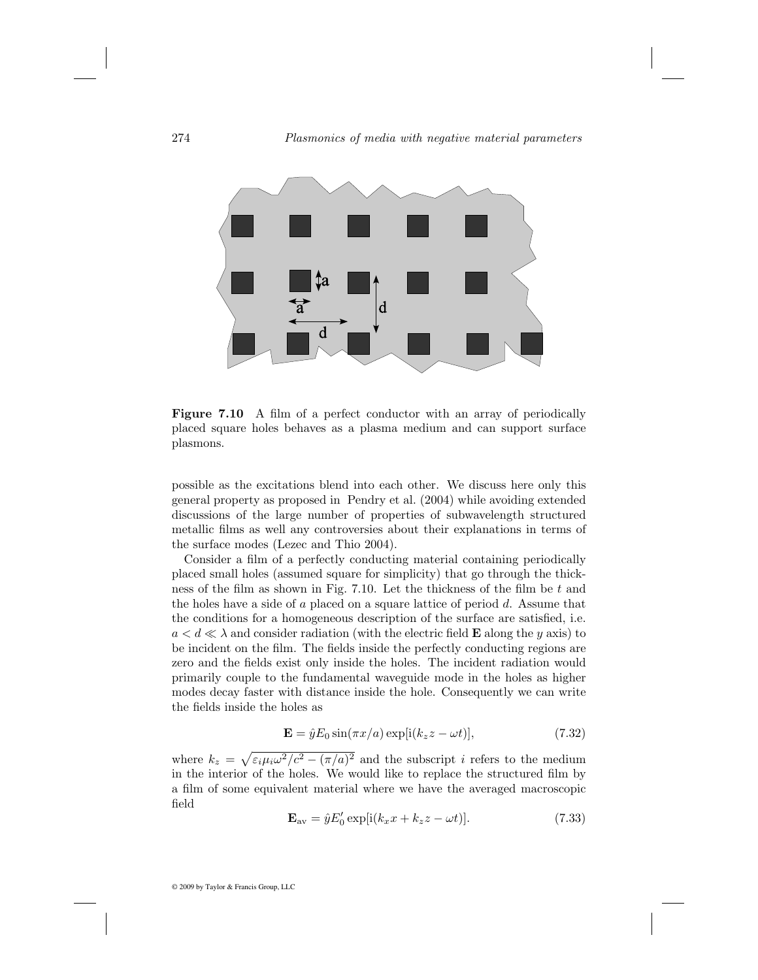

Figure 7.10 A film of a perfect conductor with an array of periodically placed square holes behaves as a plasma medium and can support surface plasmons.

possible as the excitations blend into each other. We discuss here only this general property as proposed in Pendry et al. (2004) while avoiding extended discussions of the large number of properties of subwavelength structured metallic films as well any controversies about their explanations in terms of the surface modes (Lezec and Thio 2004).

Consider a film of a perfectly conducting material containing periodically placed small holes (assumed square for simplicity) that go through the thickness of the film as shown in Fig. 7.10. Let the thickness of the film be t and the holes have a side of  $a$  placed on a square lattice of period  $d$ . Assume that the conditions for a homogeneous description of the surface are satisfied, i.e.  $a < d \ll \lambda$  and consider radiation (with the electric field **E** along the y axis) to be incident on the film. The fields inside the perfectly conducting regions are zero and the fields exist only inside the holes. The incident radiation would primarily couple to the fundamental waveguide mode in the holes as higher modes decay faster with distance inside the hole. Consequently we can write the fields inside the holes as

$$
\mathbf{E} = \hat{y}E_0 \sin(\pi x/a) \exp[i(k_z z - \omega t)], \qquad (7.32)
$$

where  $k_z = \sqrt{\epsilon_i \mu_i \omega^2/c^2 - (\pi/a)^2}$  and the subscript *i* refers to the medium in the interior of the holes. We would like to replace the structured film by a film of some equivalent material where we have the averaged macroscopic field

$$
\mathbf{E}_{\rm av} = \hat{y} E_0' \exp[i(k_x x + k_z z - \omega t)]. \tag{7.33}
$$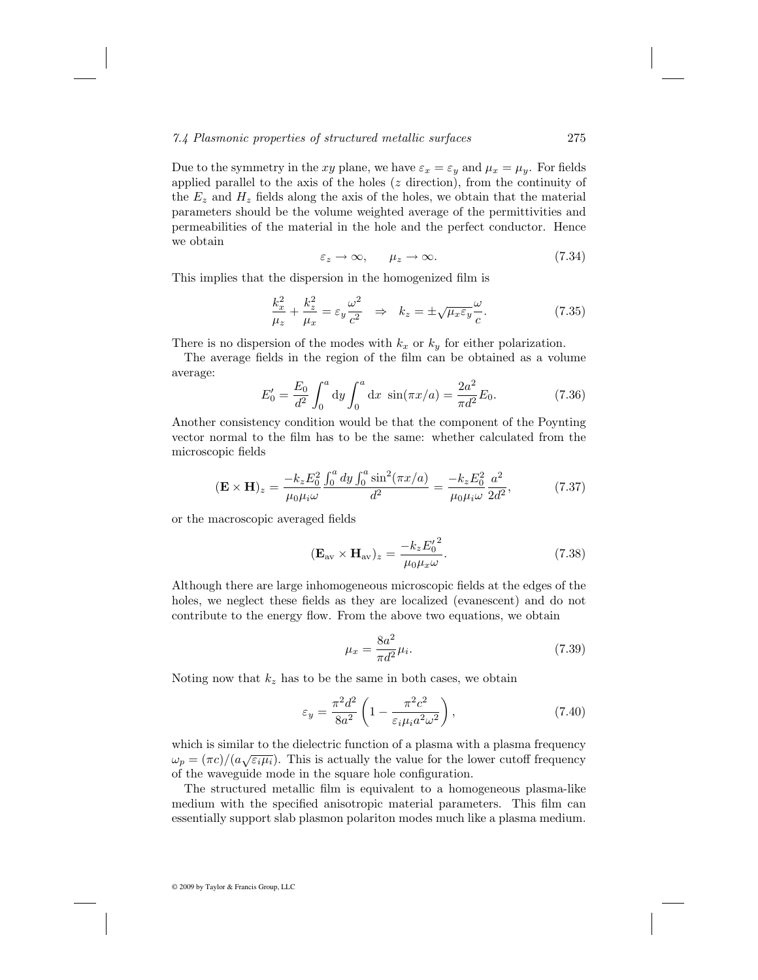Due to the symmetry in the xy plane, we have  $\varepsilon_x = \varepsilon_y$  and  $\mu_x = \mu_y$ . For fields applied parallel to the axis of the holes  $(z$  direction), from the continuity of the  $E_z$  and  $H_z$  fields along the axis of the holes, we obtain that the material parameters should be the volume weighted average of the permittivities and permeabilities of the material in the hole and the perfect conductor. Hence we obtain

$$
\varepsilon_z \to \infty, \qquad \mu_z \to \infty. \tag{7.34}
$$

This implies that the dispersion in the homogenized film is

$$
\frac{k_x^2}{\mu_z} + \frac{k_z^2}{\mu_x} = \varepsilon_y \frac{\omega^2}{c^2} \quad \Rightarrow \quad k_z = \pm \sqrt{\mu_x \varepsilon_y} \frac{\omega}{c}.
$$
\n(7.35)

There is no dispersion of the modes with  $k_x$  or  $k_y$  for either polarization.

The average fields in the region of the film can be obtained as a volume average:

$$
E_0' = \frac{E_0}{d^2} \int_0^a dy \int_0^a dx \sin(\pi x/a) = \frac{2a^2}{\pi d^2} E_0.
$$
 (7.36)

Another consistency condition would be that the component of the Poynting vector normal to the film has to be the same: whether calculated from the microscopic fields

$$
(\mathbf{E} \times \mathbf{H})_z = \frac{-k_z E_0^2}{\mu_0 \mu_i \omega} \frac{\int_0^a dy \int_0^a \sin^2(\pi x/a)}{d^2} = \frac{-k_z E_0^2}{\mu_0 \mu_i \omega} \frac{a^2}{2d^2},
$$
(7.37)

or the macroscopic averaged fields

$$
(\mathbf{E}_{\rm av} \times \mathbf{H}_{\rm av})_z = \frac{-k_z {E_0'}^2}{\mu_0 \mu_x \omega}.
$$
 (7.38)

Although there are large inhomogeneous microscopic fields at the edges of the holes, we neglect these fields as they are localized (evanescent) and do not contribute to the energy flow. From the above two equations, we obtain

$$
\mu_x = \frac{8a^2}{\pi d^2} \mu_i.
$$
\n(7.39)

Noting now that  $k_z$  has to be the same in both cases, we obtain

$$
\varepsilon_y = \frac{\pi^2 d^2}{8a^2} \left( 1 - \frac{\pi^2 c^2}{\varepsilon_i \mu_i a^2 \omega^2} \right),\tag{7.40}
$$

which is similar to the dielectric function of a plasma with a plasma frequency  $\omega_p = (\pi c)/(\sqrt{\varepsilon_i\mu_i})$ . This is actually the value for the lower cutoff frequency of the waveguide mode in the square hole configuration.

The structured metallic film is equivalent to a homogeneous plasma-like medium with the specified anisotropic material parameters. This film can essentially support slab plasmon polariton modes much like a plasma medium.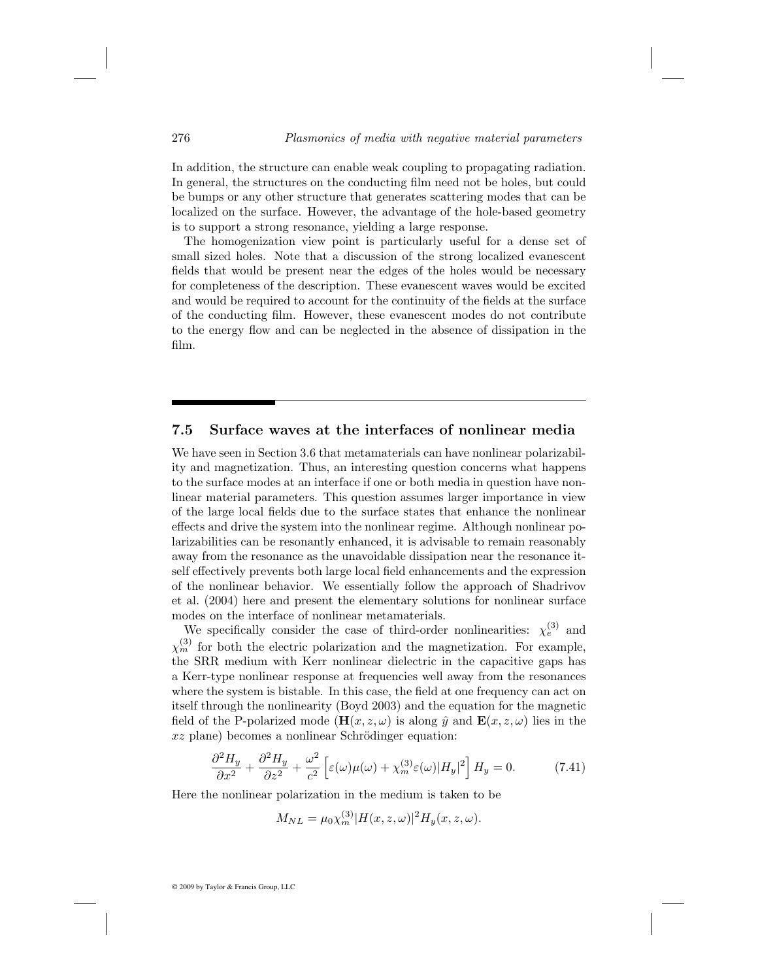In addition, the structure can enable weak coupling to propagating radiation. In general, the structures on the conducting film need not be holes, but could be bumps or any other structure that generates scattering modes that can be localized on the surface. However, the advantage of the hole-based geometry is to support a strong resonance, yielding a large response.

The homogenization view point is particularly useful for a dense set of small sized holes. Note that a discussion of the strong localized evanescent fields that would be present near the edges of the holes would be necessary for completeness of the description. These evanescent waves would be excited and would be required to account for the continuity of the fields at the surface of the conducting film. However, these evanescent modes do not contribute to the energy flow and can be neglected in the absence of dissipation in the film.

# **7.5 Surface waves at the interfaces of nonlinear media**

ity and magnetization. Thus, an interesting question concerns what happens to the surface modes at an interface if one or both media in question have nonlinear material parameters. This question assumes larger importance in view of the large local fields due to the surface states that enhance the nonlinear effects and drive the system into the nonlinear regime. Although nonlinear polarizabilities can be resonantly enhanced, it is advisable to remain reasonably away from the resonance as the unavoidable dissipation near the resonance itself effectively prevents both large local field enhancements and the expression of the nonlinear behavior. We essentially follow the approach of Shadrivov et al. (2004) here and present the elementary solutions for nonlinear surface modes on the interface of nonlinear metamaterials. We have seen in Section 3.6 that metamaterials can have nonlinear polarizabil-

We specifically consider the case of third-order nonlinearities:  $\chi_e^{(3)}$  and  $\chi_m^{(3)}$  for both the electric polarization and the magnetization. For example, the SRR medium with Kerr nonlinear dielectric in the capacitive gaps has a Kerr-type nonlinear response at frequencies well away from the resonances where the system is bistable. In this case, the field at one frequency can act on itself through the nonlinearity (Boyd 2003) and the equation for the magnetic field of the P-polarized mode  $(\mathbf{H}(x,z,\omega))$  is along  $\hat{y}$  and  $\mathbf{E}(x,z,\omega)$  lies in the  $xz$  plane) becomes a nonlinear Schrödinger equation:

$$
\frac{\partial^2 H_y}{\partial x^2} + \frac{\partial^2 H_y}{\partial z^2} + \frac{\omega^2}{c^2} \left[ \varepsilon(\omega)\mu(\omega) + \chi_m^{(3)} \varepsilon(\omega) |H_y|^2 \right] H_y = 0. \tag{7.41}
$$

Here the nonlinear polarization in the medium is taken to be

$$
M_{NL} = \mu_0 \chi_m^{(3)} |H(x, z, \omega)|^2 H_y(x, z, \omega).
$$

© 2009 by Taylor & Francis Group, LLC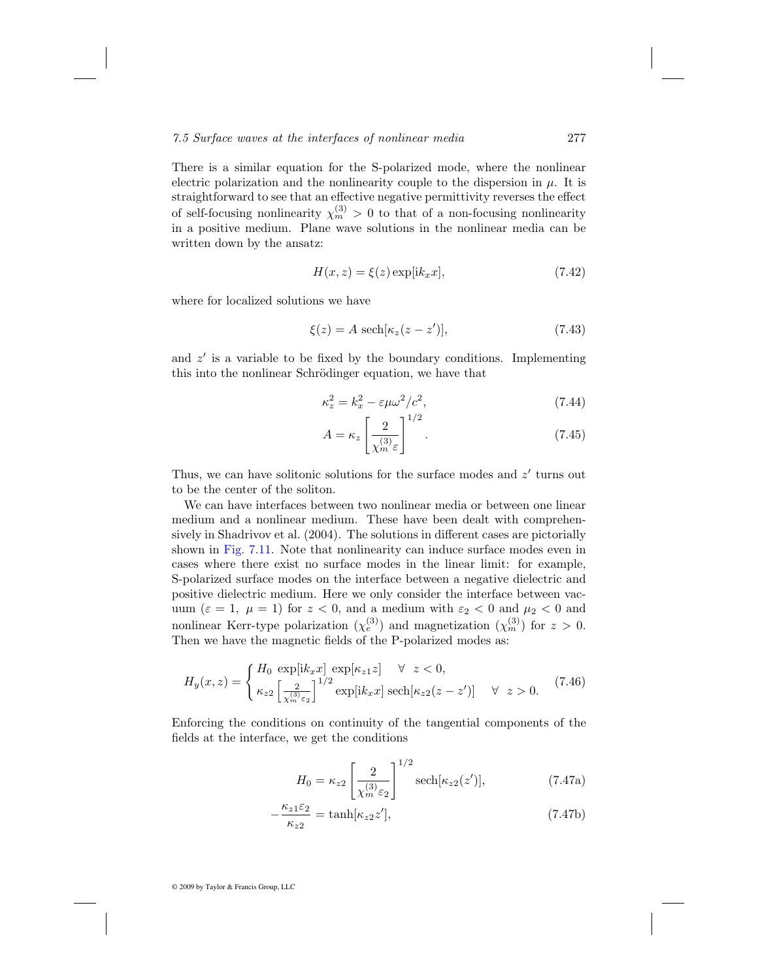There is a similar equation for the S-polarized mode, where the nonlinear electric polarization and the nonlinearity couple to the dispersion in  $\mu$ . It is straightforward to see that an effective negative permittivity reverses the effect of self-focusing nonlinearity  $\chi_m^{(3)} > 0$  to that of a non-focusing nonlinearity in a positive medium. Plane wave solutions in the nonlinear media can be written down by the ansatz:

$$
H(x, z) = \xi(z) \exp[i k_x x], \qquad (7.42)
$$

where for localized solutions we have

$$
\xi(z) = A \operatorname{sech}[\kappa_z(z - z')],\tag{7.43}
$$

and  $z'$  is a variable to be fixed by the boundary conditions. Implementing this into the nonlinear Schrödinger equation, we have that

$$
\kappa_z^2 = k_x^2 - \varepsilon \mu \omega^2 / c^2,\tag{7.44}
$$

$$
A = \kappa_z \left[ \frac{2}{\chi_m^{(3)} \varepsilon} \right]^{1/2} . \tag{7.45}
$$

Thus, we can have solitonic solutions for the surface modes and  $z'$  turns out to be the center of the soliton.

We can have interfaces between two nonlinear media or between one linear medium and a nonlinear medium. These have been dealt with comprehensively in Shadrivov et al. (2004). The solutions in different cases are pictorially shown in [Fig. 7.11](#page-25-0). Note that nonlinearity can induce surface modes even in cases where there exist no surface modes in the linear limit: for example, S-polarized surface modes on the interface between a negative dielectric and positive dielectric medium. Here we only consider the interface between vacuum ( $\varepsilon = 1$ ,  $\mu = 1$ ) for  $z < 0$ , and a medium with  $\varepsilon_2 < 0$  and  $\mu_2 < 0$  and nonlinear Kerr-type polarization  $(\chi_e^{(3)})$  and magnetization  $(\chi_m^{(3)})$  for  $z > 0$ . Then we have the magnetic fields of the P-polarized modes as:

$$
H_y(x,z) = \begin{cases} H_0 \exp[i k_x x] \exp[\kappa_{z1} z] & \forall z < 0, \\ \kappa_{z2} \left[ \frac{2}{\chi_m^{(3)} \varepsilon_2} \right]^{1/2} \exp[i k_x x] \operatorname{sech}[\kappa_{z2}(z - z')] & \forall z > 0. \end{cases} \tag{7.46}
$$

Enforcing the conditions on continuity of the tangential components of the fields at the interface, we get the conditions

$$
H_0 = \kappa_{z2} \left[ \frac{2}{\chi_m^{(3)} \varepsilon_2} \right]^{1/2} \text{sech}[\kappa_{z2}(z')],\tag{7.47a}
$$

$$
-\frac{\kappa_{z1}\varepsilon_2}{\kappa_{z2}} = \tanh[\kappa_{z2}z'],\tag{7.47b}
$$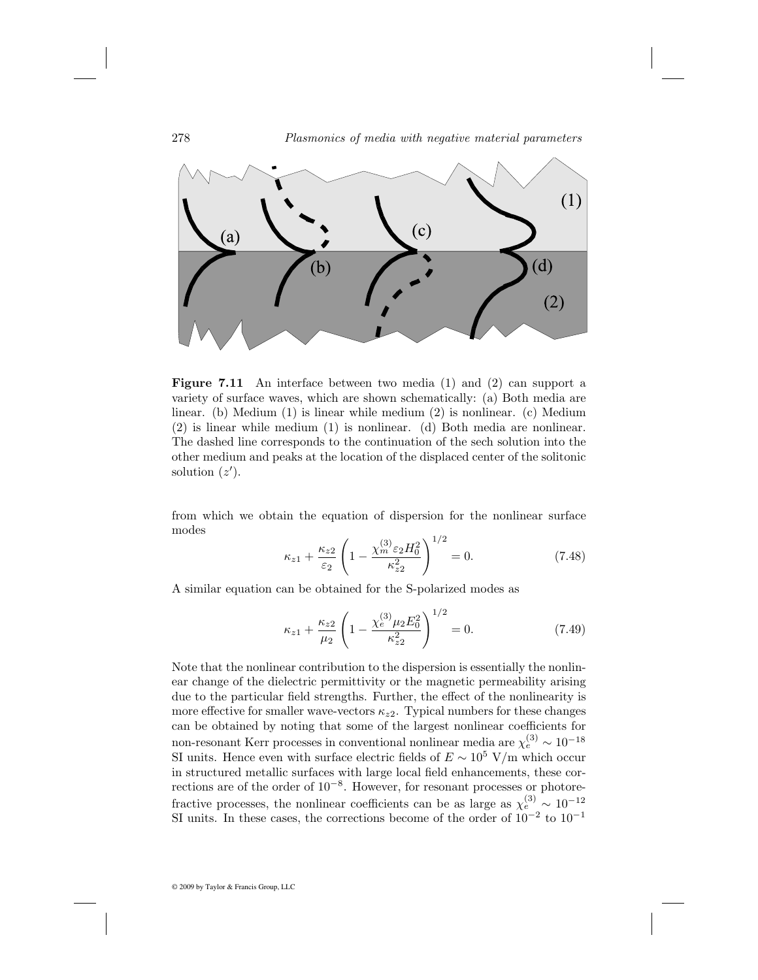<span id="page-25-0"></span>

**Figure 7.11** An interface between two media (1) and (2) can support a variety of surface waves, which are shown schematically: (a) Both media are linear. (b) Medium (1) is linear while medium (2) is nonlinear. (c) Medium (2) is linear while medium (1) is nonlinear. (d) Both media are nonlinear. The dashed line corresponds to the continuation of the sech solution into the other medium and peaks at the location of the displaced center of the solitonic solution  $(z')$ .

from which we obtain the equation of dispersion for the nonlinear surface modes

$$
\kappa_{z1} + \frac{\kappa_{z2}}{\varepsilon_2} \left( 1 - \frac{\chi_m^{(3)} \varepsilon_2 H_0^2}{\kappa_{z2}^2} \right)^{1/2} = 0. \tag{7.48}
$$

A similar equation can be obtained for the S-polarized modes as

$$
\kappa_{z1} + \frac{\kappa_{z2}}{\mu_2} \left( 1 - \frac{\chi_e^{(3)} \mu_2 E_0^2}{\kappa_{z2}^2} \right)^{1/2} = 0. \tag{7.49}
$$

Note that the nonlinear contribution to the dispersion is essentially the nonlinear change of the dielectric permittivity or the magnetic permeability arising due to the particular field strengths. Further, the effect of the nonlinearity is more effective for smaller wave-vectors  $\kappa_{z2}$ . Typical numbers for these changes can be obtained by noting that some of the largest nonlinear coefficients for non-resonant Kerr processes in conventional nonlinear media are  $\chi_e^{(3)} \sim 10^{-18}$ SI units. Hence even with surface electric fields of  $E \sim 10^5$  V/m which occur in structured metallic surfaces with large local field enhancements, these corrections are of the order of  $10^{-8}$ . However, for resonant processes or photorefractive processes, the nonlinear coefficients can be as large as  $\chi_e^{(3)} \sim 10^{-12}$ SI units. In these cases, the corrections become of the order of  $10^{-2}$  to  $10^{-1}$